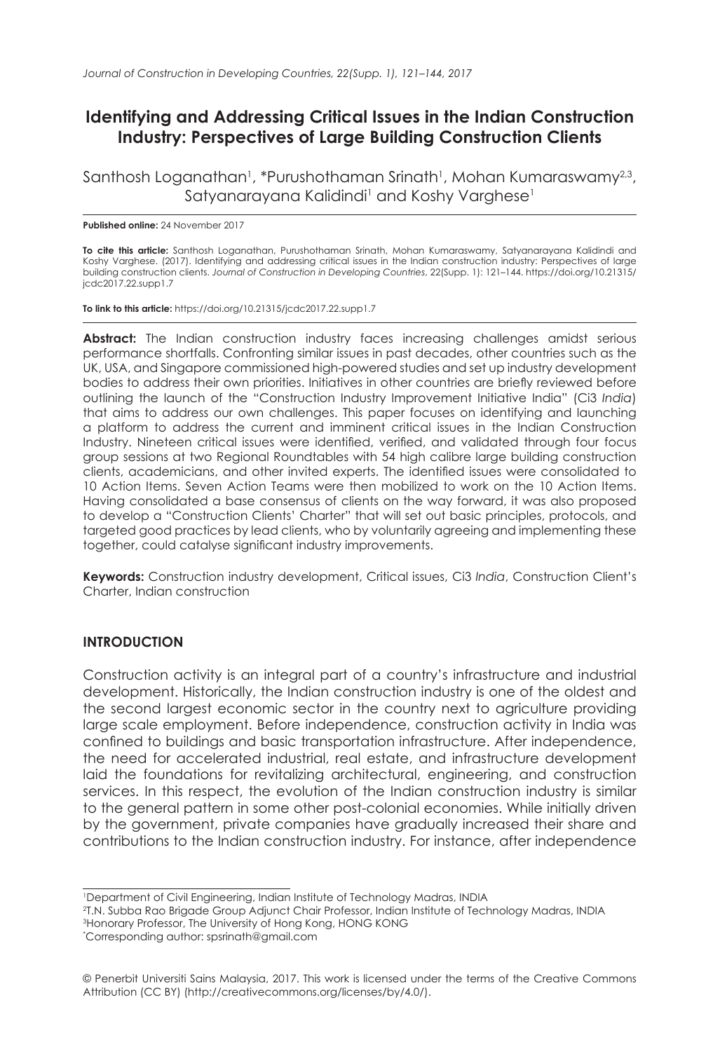# **Identifying and Addressing Critical Issues in the Indian Construction Industry: Perspectives of Large Building Construction Clients**

Santhosh Loganathan<sup>1</sup>, \*Purushothaman Srinath<sup>1</sup>, Mohan Kumaraswamy<sup>2,3</sup>, Satyanarayana Kalidindi<sup>1</sup> and Koshy Varghese<sup>1</sup>

#### **Published online:** 24 November 2017

**To cite this article:** Santhosh Loganathan, Purushothaman Srinath, Mohan Kumaraswamy, Satyanarayana Kalidindi and Koshy Varghese. (2017). Identifying and addressing critical issues in the Indian construction industry: Perspectives of large building construction clients. *Journal of Construction in Developing Countries*, 22(Supp. 1): 121–144. https://doi.org/10.21315/ jcdc2017.22.supp1.7

**To link to this article:** https://doi.org/10.21315/jcdc2017.22.supp1.7

**Abstract:** The Indian construction industry faces increasing challenges amidst serious performance shortfalls. Confronting similar issues in past decades, other countries such as the UK, USA, and Singapore commissioned high-powered studies and set up industry development bodies to address their own priorities. Initiatives in other countries are briefly reviewed before outlining the launch of the "Construction Industry Improvement Initiative India" (Ci3 *India*) that aims to address our own challenges. This paper focuses on identifying and launching a platform to address the current and imminent critical issues in the Indian Construction Industry. Nineteen critical issues were identified, verified, and validated through four focus group sessions at two Regional Roundtables with 54 high calibre large building construction clients, academicians, and other invited experts. The identified issues were consolidated to 10 Action Items. Seven Action Teams were then mobilized to work on the 10 Action Items. Having consolidated a base consensus of clients on the way forward, it was also proposed to develop a "Construction Clients' Charter" that will set out basic principles, protocols, and targeted good practices by lead clients, who by voluntarily agreeing and implementing these together, could catalyse significant industry improvements.

**Keywords:** Construction industry development, Critical issues, Ci3 *India*, Construction Client's Charter, Indian construction

#### **INTRODUCTION**

Construction activity is an integral part of a country's infrastructure and industrial development. Historically, the Indian construction industry is one of the oldest and the second largest economic sector in the country next to agriculture providing large scale employment. Before independence, construction activity in India was confined to buildings and basic transportation infrastructure. After independence, the need for accelerated industrial, real estate, and infrastructure development laid the foundations for revitalizing architectural, engineering, and construction services. In this respect, the evolution of the Indian construction industry is similar to the general pattern in some other post-colonial economies. While initially driven by the government, private companies have gradually increased their share and contributions to the Indian construction industry. For instance, after independence

3 Honorary Professor, The University of Hong Kong, HONG KONG

<sup>1</sup> Department of Civil Engineering, Indian Institute of Technology Madras, INDIA

<sup>2</sup> T.N. Subba Rao Brigade Group Adjunct Chair Professor, Indian Institute of Technology Madras, INDIA

<sup>\*</sup> Corresponding author: spsrinath@gmail.com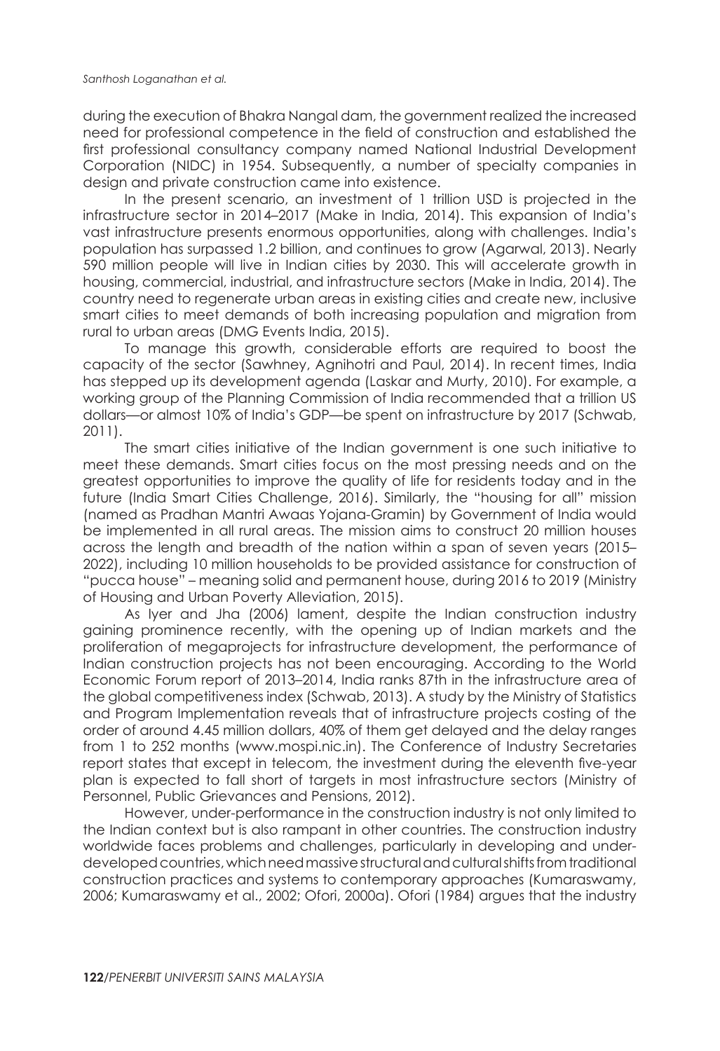during the execution of Bhakra Nangal dam, the government realized the increased need for professional competence in the field of construction and established the first professional consultancy company named National Industrial Development Corporation (NIDC) in 1954. Subsequently, a number of specialty companies in design and private construction came into existence.

In the present scenario, an investment of 1 trillion USD is projected in the infrastructure sector in 2014–2017 (Make in India, 2014). This expansion of India's vast infrastructure presents enormous opportunities, along with challenges. India's population has surpassed 1.2 billion, and continues to grow (Agarwal, 2013). Nearly 590 million people will live in Indian cities by 2030. This will accelerate growth in housing, commercial, industrial, and infrastructure sectors (Make in India, 2014). The country need to regenerate urban areas in existing cities and create new, inclusive smart cities to meet demands of both increasing population and migration from rural to urban areas (DMG Events India, 2015).

To manage this growth, considerable efforts are required to boost the capacity of the sector (Sawhney, Agnihotri and Paul, 2014). In recent times, India has stepped up its development agenda (Laskar and Murty, 2010). For example, a working group of the Planning Commission of India recommended that a trillion US dollars—or almost 10% of India's GDP—be spent on infrastructure by 2017 (Schwab, 2011).

The smart cities initiative of the Indian government is one such initiative to meet these demands. Smart cities focus on the most pressing needs and on the greatest opportunities to improve the quality of life for residents today and in the future (India Smart Cities Challenge, 2016). Similarly, the "housing for all" mission (named as Pradhan Mantri Awaas Yojana-Gramin) by Government of India would be implemented in all rural areas. The mission aims to construct 20 million houses across the length and breadth of the nation within a span of seven years (2015– 2022), including 10 million households to be provided assistance for construction of "pucca house" – meaning solid and permanent house, during 2016 to 2019 (Ministry of Housing and Urban Poverty Alleviation, 2015).

As Iyer and Jha (2006) lament, despite the Indian construction industry gaining prominence recently, with the opening up of Indian markets and the proliferation of megaprojects for infrastructure development, the performance of Indian construction projects has not been encouraging. According to the World Economic Forum report of 2013–2014, India ranks 87th in the infrastructure area of the global competitiveness index (Schwab, 2013). A study by the Ministry of Statistics and Program Implementation reveals that of infrastructure projects costing of the order of around 4.45 million dollars, 40% of them get delayed and the delay ranges from 1 to 252 months (www.mospi.nic.in). The Conference of Industry Secretaries report states that except in telecom, the investment during the eleventh five-year plan is expected to fall short of targets in most infrastructure sectors (Ministry of Personnel, Public Grievances and Pensions, 2012).

However, under-performance in the construction industry is not only limited to the Indian context but is also rampant in other countries. The construction industry worldwide faces problems and challenges, particularly in developing and underdeveloped countries, which need massive structural and cultural shifts from traditional construction practices and systems to contemporary approaches (Kumaraswamy, 2006; Kumaraswamy et al., 2002; Ofori, 2000a). Ofori (1984) argues that the industry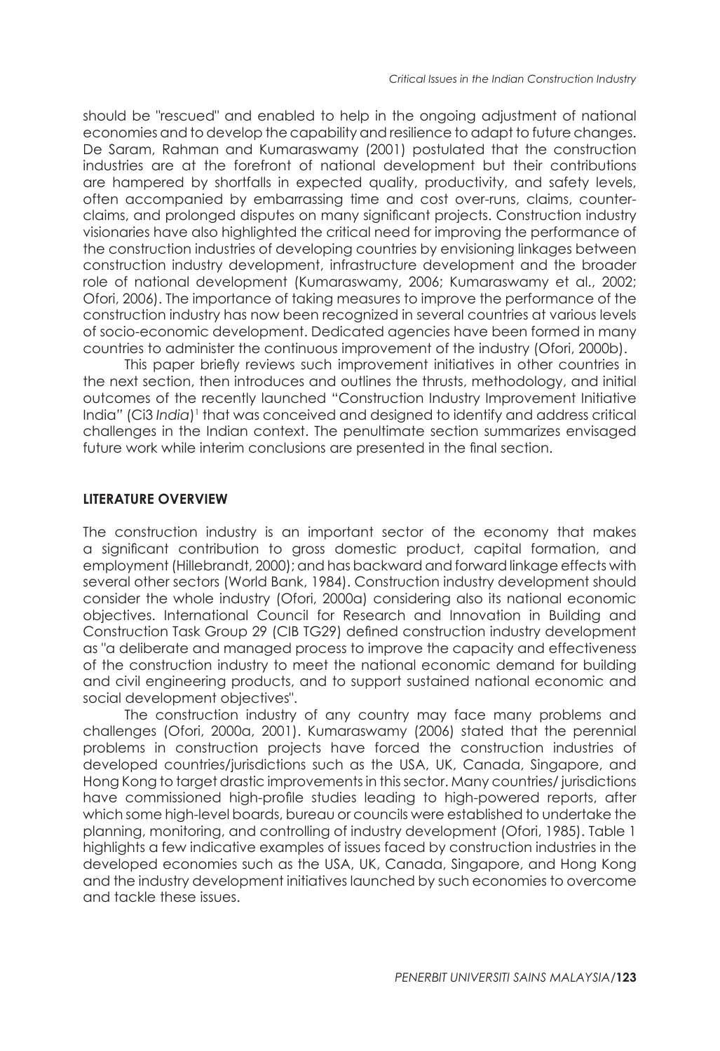should be "rescued" and enabled to help in the ongoing adjustment of national economies and to develop the capability and resilience to adapt to future changes. De Saram, Rahman and Kumaraswamy (2001) postulated that the construction industries are at the forefront of national development but their contributions are hampered by shortfalls in expected quality, productivity, and safety levels, often accompanied by embarrassing time and cost over-runs, claims, counterclaims, and prolonged disputes on many significant projects. Construction industry visionaries have also highlighted the critical need for improving the performance of the construction industries of developing countries by envisioning linkages between construction industry development, infrastructure development and the broader role of national development (Kumaraswamy, 2006; Kumaraswamy et al., 2002; Ofori, 2006). The importance of taking measures to improve the performance of the construction industry has now been recognized in several countries at various levels of socio-economic development. Dedicated agencies have been formed in many countries to administer the continuous improvement of the industry (Ofori, 2000b).

This paper briefly reviews such improvement initiatives in other countries in the next section, then introduces and outlines the thrusts, methodology, and initial outcomes of the recently launched "Construction Industry Improvement Initiative India" (Ci3 *India*)<sup>1</sup> that was conceived and designed to identify and address critical challenges in the Indian context. The penultimate section summarizes envisaged future work while interim conclusions are presented in the final section.

#### **LITERATURE OVERVIEW**

The construction industry is an important sector of the economy that makes a significant contribution to gross domestic product, capital formation, and employment (Hillebrandt, 2000); and has backward and forward linkage effects with several other sectors (World Bank, 1984). Construction industry development should consider the whole industry (Ofori, 2000a) considering also its national economic objectives. International Council for Research and Innovation in Building and Construction Task Group 29 (CIB TG29) defined construction industry development as "a deliberate and managed process to improve the capacity and effectiveness of the construction industry to meet the national economic demand for building and civil engineering products, and to support sustained national economic and social development objectives".

The construction industry of any country may face many problems and challenges (Ofori, 2000a, 2001). Kumaraswamy (2006) stated that the perennial problems in construction projects have forced the construction industries of developed countries/jurisdictions such as the USA, UK, Canada, Singapore, and Hong Kong to target drastic improvements in this sector. Many countries/ jurisdictions have commissioned high-profile studies leading to high-powered reports, after which some high-level boards, bureau or councils were established to undertake the planning, monitoring, and controlling of industry development (Ofori, 1985). Table 1 highlights a few indicative examples of issues faced by construction industries in the developed economies such as the USA, UK, Canada, Singapore, and Hong Kong and the industry development initiatives launched by such economies to overcome and tackle these issues.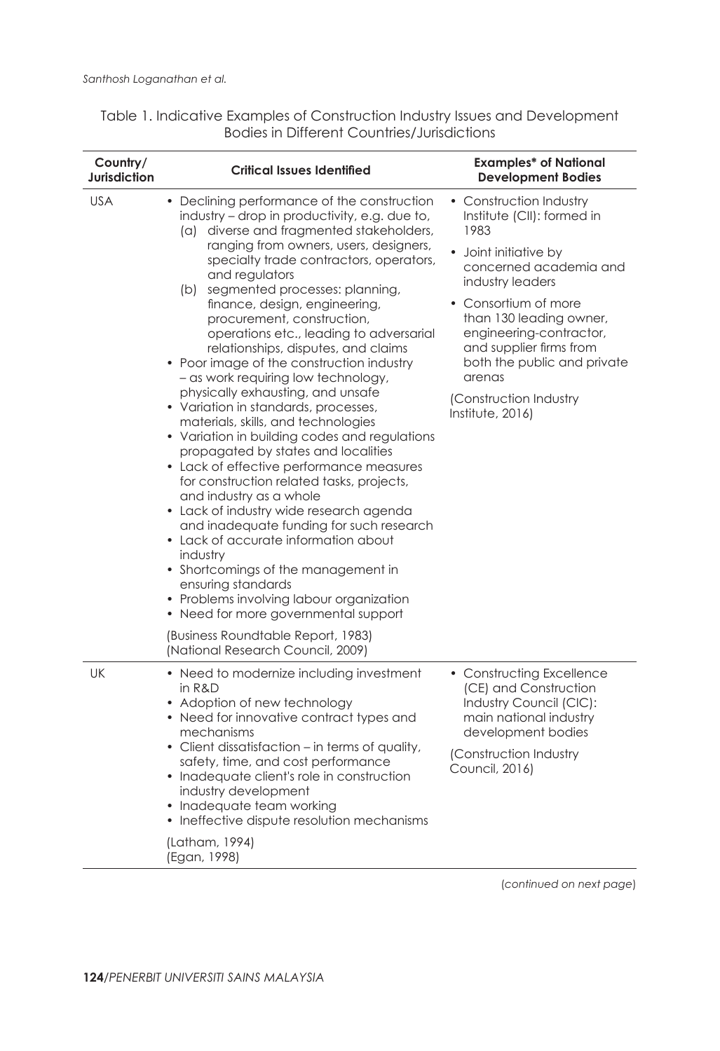| Country/<br>Jurisdiction | <b>Critical Issues Identified</b>                                                                                                                                                                                                                                                                                                                                                                                                                                                                                                                                                                                                                                                                                                                                                                                                                                                                                                                                                                                                                                                                                                                                                                                                 | <b>Examples* of National</b><br><b>Development Bodies</b>                                                                                                                                                                                                                                                                             |  |
|--------------------------|-----------------------------------------------------------------------------------------------------------------------------------------------------------------------------------------------------------------------------------------------------------------------------------------------------------------------------------------------------------------------------------------------------------------------------------------------------------------------------------------------------------------------------------------------------------------------------------------------------------------------------------------------------------------------------------------------------------------------------------------------------------------------------------------------------------------------------------------------------------------------------------------------------------------------------------------------------------------------------------------------------------------------------------------------------------------------------------------------------------------------------------------------------------------------------------------------------------------------------------|---------------------------------------------------------------------------------------------------------------------------------------------------------------------------------------------------------------------------------------------------------------------------------------------------------------------------------------|--|
| <b>USA</b>               | • Declining performance of the construction<br>industry - drop in productivity, e.g. due to,<br>(a) diverse and fragmented stakeholders,<br>ranging from owners, users, designers,<br>specialty trade contractors, operators,<br>and regulators<br>(b) segmented processes: planning,<br>finance, design, engineering,<br>procurement, construction,<br>operations etc., leading to adversarial<br>relationships, disputes, and claims<br>• Poor image of the construction industry<br>- as work requiring low technology,<br>physically exhausting, and unsafe<br>• Variation in standards, processes,<br>materials, skills, and technologies<br>• Variation in building codes and regulations<br>propagated by states and localities<br>• Lack of effective performance measures<br>for construction related tasks, projects,<br>and industry as a whole<br>• Lack of industry wide research agenda<br>and inadequate funding for such research<br>• Lack of accurate information about<br>industry<br>• Shortcomings of the management in<br>ensuring standards<br>• Problems involving labour organization<br>• Need for more governmental support<br>(Business Roundtable Report, 1983)<br>(National Research Council, 2009) | • Construction Industry<br>Institute (CII): formed in<br>1983<br>Joint initiative by<br>concerned academia and<br>industry leaders<br>• Consortium of more<br>than 130 leading owner,<br>engineering-contractor,<br>and supplier firms from<br>both the public and private<br>arenas<br>(Construction Industry<br>Institute, $2016$ ) |  |
| UK                       | • Need to modernize including investment<br>in R&D<br>• Adoption of new technology<br>• Need for innovative contract types and<br>mechanisms<br>• Client dissatisfaction – in terms of quality,<br>safety, time, and cost performance<br>• Inadequate client's role in construction<br>industry development<br>• Inadequate team working<br>Ineffective dispute resolution mechanisms<br>٠<br>(Latham, 1994)<br>(Egan, 1998)                                                                                                                                                                                                                                                                                                                                                                                                                                                                                                                                                                                                                                                                                                                                                                                                      | • Constructing Excellence<br>(CE) and Construction<br>Industry Council (CIC):<br>main national industry<br>development bodies<br>(Construction Industry<br>Council, 2016)                                                                                                                                                             |  |

Table 1. Indicative Examples of Construction Industry Issues and Development Bodies in Different Countries/Jurisdictions

(*continued on next page*)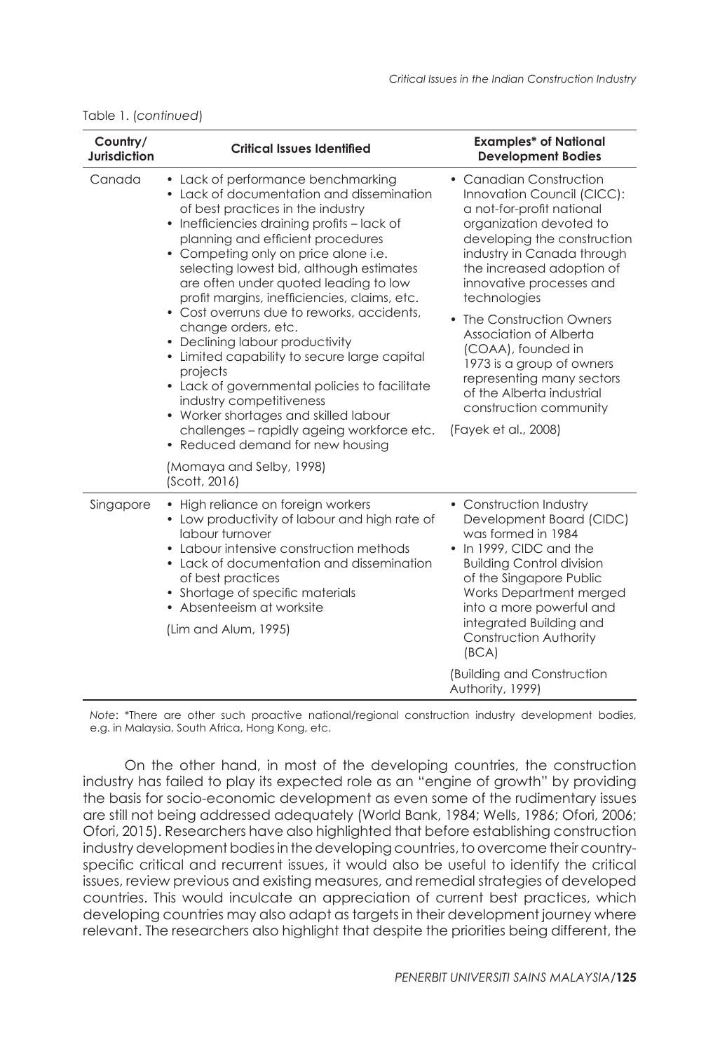| Country/<br><b>Jurisdiction</b> | <b>Critical Issues Identified</b>                                                                                                                                                                                                                                                                                                                                                                                                                                                                                                                                                                                                                                                                                                                                 | <b>Examples* of National</b><br><b>Development Bodies</b>                                                                                                                                                                                                                                                                                                                                                                                                                 |
|---------------------------------|-------------------------------------------------------------------------------------------------------------------------------------------------------------------------------------------------------------------------------------------------------------------------------------------------------------------------------------------------------------------------------------------------------------------------------------------------------------------------------------------------------------------------------------------------------------------------------------------------------------------------------------------------------------------------------------------------------------------------------------------------------------------|---------------------------------------------------------------------------------------------------------------------------------------------------------------------------------------------------------------------------------------------------------------------------------------------------------------------------------------------------------------------------------------------------------------------------------------------------------------------------|
| Canada                          | • Lack of performance benchmarking<br>• Lack of documentation and dissemination<br>of best practices in the industry<br>• Inefficiencies draining profits - lack of<br>planning and efficient procedures<br>• Competing only on price alone i.e.<br>selecting lowest bid, although estimates<br>are often under quoted leading to low<br>profit margins, inefficiencies, claims, etc.<br>• Cost overruns due to reworks, accidents,<br>change orders, etc.<br>• Declining labour productivity<br>• Limited capability to secure large capital<br>projects<br>• Lack of governmental policies to facilitate<br>industry competitiveness<br>• Worker shortages and skilled labour<br>challenges - rapidly ageing workforce etc.<br>• Reduced demand for new housing | • Canadian Construction<br>Innovation Council (CICC):<br>a not-for-profit national<br>organization devoted to<br>developing the construction<br>industry in Canada through<br>the increased adoption of<br>innovative processes and<br>technologies<br>• The Construction Owners<br>Association of Alberta<br>(COAA), founded in<br>1973 is a group of owners<br>representing many sectors<br>of the Alberta industrial<br>construction community<br>(Fayek et al., 2008) |
|                                 | (Momaya and Selby, 1998)<br>(Scott, 2016)                                                                                                                                                                                                                                                                                                                                                                                                                                                                                                                                                                                                                                                                                                                         |                                                                                                                                                                                                                                                                                                                                                                                                                                                                           |
| Singapore                       | • High reliance on foreign workers<br>• Low productivity of labour and high rate of<br>labour turnover<br>• Labour intensive construction methods<br>• Lack of documentation and dissemination<br>of best practices<br>• Shortage of specific materials<br>• Absenteeism at worksite<br>(Lim and Alum, 1995)                                                                                                                                                                                                                                                                                                                                                                                                                                                      | • Construction Industry<br>Development Board (CIDC)<br>was formed in 1984<br>• In 1999, CIDC and the<br><b>Building Control division</b><br>of the Singapore Public<br>Works Department merged<br>into a more powerful and<br>integrated Building and<br>Construction Authority<br>(BCA)                                                                                                                                                                                  |
|                                 |                                                                                                                                                                                                                                                                                                                                                                                                                                                                                                                                                                                                                                                                                                                                                                   | (Building and Construction<br>Authority, 1999)                                                                                                                                                                                                                                                                                                                                                                                                                            |

#### Table 1. (*continued*)

*Note*: \*There are other such proactive national/regional construction industry development bodies, e.g. in Malaysia, South Africa, Hong Kong, etc.

On the other hand, in most of the developing countries, the construction industry has failed to play its expected role as an "engine of growth" by providing the basis for socio-economic development as even some of the rudimentary issues are still not being addressed adequately (World Bank, 1984; Wells, 1986; Ofori, 2006; Ofori, 2015). Researchers have also highlighted that before establishing construction industry development bodies in the developing countries, to overcome their countryspecific critical and recurrent issues, it would also be useful to identify the critical issues, review previous and existing measures, and remedial strategies of developed countries. This would inculcate an appreciation of current best practices, which developing countries may also adapt as targets in their development journey where relevant. The researchers also highlight that despite the priorities being different, the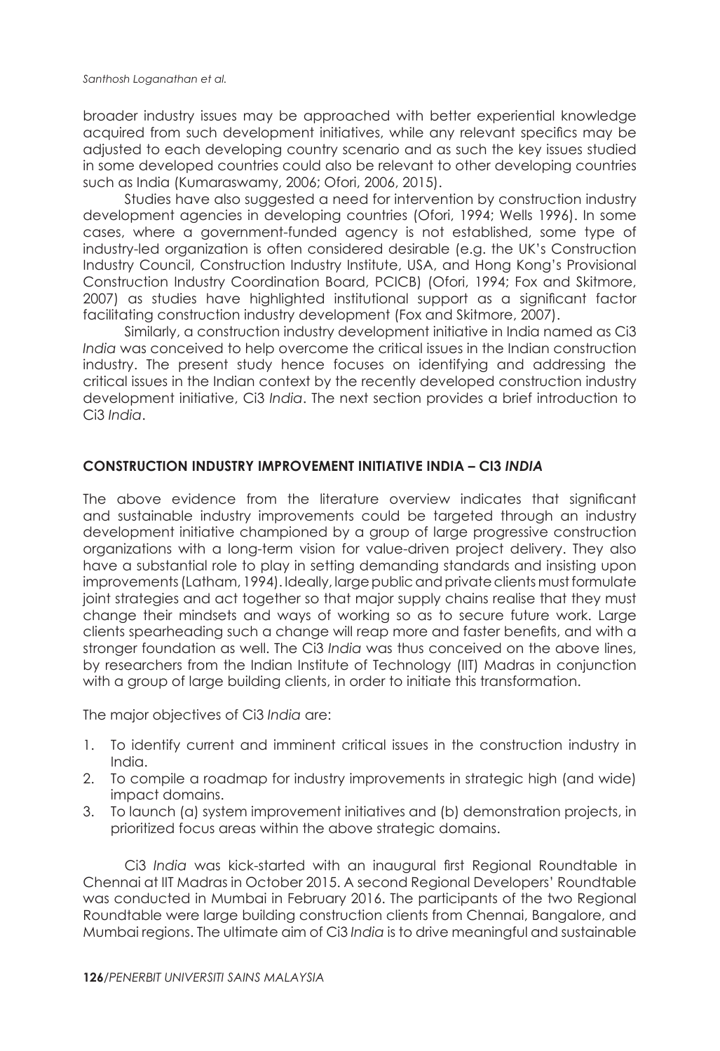broader industry issues may be approached with better experiential knowledge acquired from such development initiatives, while any relevant specifics may be adjusted to each developing country scenario and as such the key issues studied in some developed countries could also be relevant to other developing countries such as India (Kumaraswamy, 2006; Ofori, 2006, 2015).

Studies have also suggested a need for intervention by construction industry development agencies in developing countries (Ofori, 1994; Wells 1996). In some cases, where a government-funded agency is not established, some type of industry-led organization is often considered desirable (e.g. the UK's Construction Industry Council, Construction Industry Institute, USA, and Hong Kong's Provisional Construction Industry Coordination Board, PCICB) (Ofori, 1994; Fox and Skitmore, 2007) as studies have highlighted institutional support as a significant factor facilitating construction industry development (Fox and Skitmore, 2007).

Similarly, a construction industry development initiative in India named as Ci3 *India* was conceived to help overcome the critical issues in the Indian construction industry. The present study hence focuses on identifying and addressing the critical issues in the Indian context by the recently developed construction industry development initiative, Ci3 *India*. The next section provides a brief introduction to Ci3 *India*.

### **CONSTRUCTION INDUSTRY IMPROVEMENT INITIATIVE INDIA – CI3** *INDIA*

The above evidence from the literature overview indicates that significant and sustainable industry improvements could be targeted through an industry development initiative championed by a group of large progressive construction organizations with a long-term vision for value-driven project delivery. They also have a substantial role to play in setting demanding standards and insisting upon improvements (Latham, 1994). Ideally, large public and private clients must formulate joint strategies and act together so that major supply chains realise that they must change their mindsets and ways of working so as to secure future work. Large clients spearheading such a change will reap more and faster benefits, and with a stronger foundation as well. The Ci3 *India* was thus conceived on the above lines, by researchers from the Indian Institute of Technology (IIT) Madras in conjunction with a group of large building clients, in order to initiate this transformation.

The major objectives of Ci3 *India* are:

- 1. To identify current and imminent critical issues in the construction industry in India.
- 2. To compile a roadmap for industry improvements in strategic high (and wide) impact domains.
- 3. To launch (a) system improvement initiatives and (b) demonstration projects, in prioritized focus areas within the above strategic domains.

Ci3 *India* was kick-started with an inaugural first Regional Roundtable in Chennai at IIT Madras in October 2015. A second Regional Developers' Roundtable was conducted in Mumbai in February 2016. The participants of the two Regional Roundtable were large building construction clients from Chennai, Bangalore, and Mumbai regions. The ultimate aim of Ci3 *India* is to drive meaningful and sustainable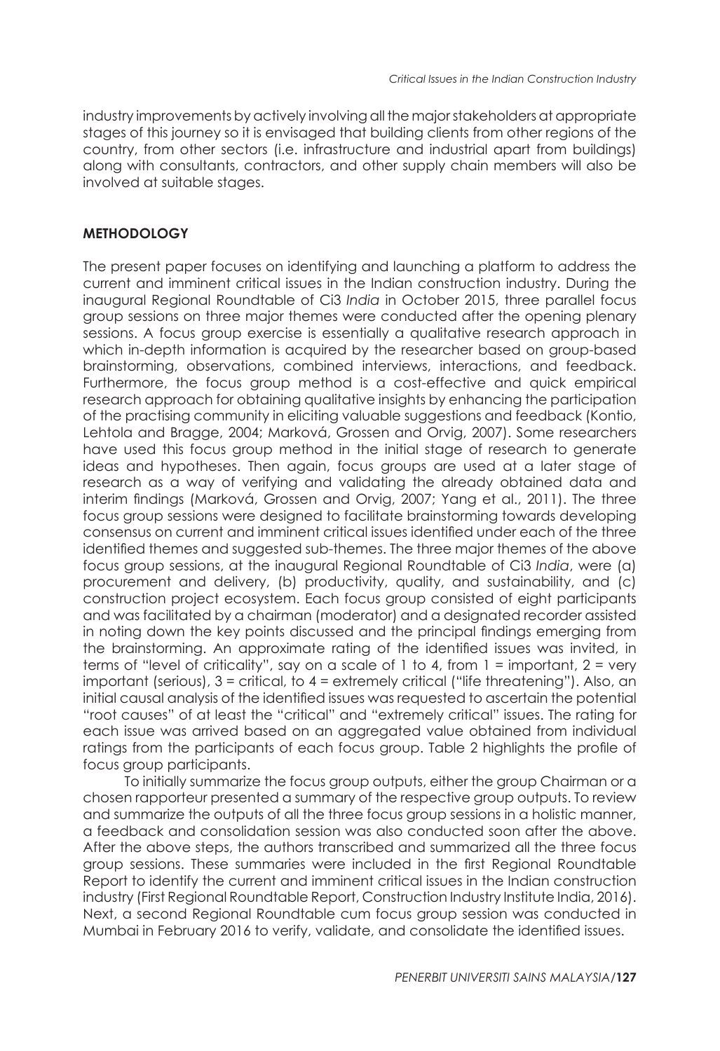industry improvements by actively involving all the major stakeholders at appropriate stages of this journey so it is envisaged that building clients from other regions of the country, from other sectors (i.e. infrastructure and industrial apart from buildings) along with consultants, contractors, and other supply chain members will also be involved at suitable stages.

# **METHODOLOGY**

The present paper focuses on identifying and launching a platform to address the current and imminent critical issues in the Indian construction industry. During the inaugural Regional Roundtable of Ci3 *India* in October 2015, three parallel focus group sessions on three major themes were conducted after the opening plenary sessions. A focus group exercise is essentially a qualitative research approach in which in-depth information is acquired by the researcher based on group-based brainstorming, observations, combined interviews, interactions, and feedback. Furthermore, the focus group method is a cost-effective and quick empirical research approach for obtaining qualitative insights by enhancing the participation of the practising community in eliciting valuable suggestions and feedback (Kontio, Lehtola and Bragge, 2004; Marková, Grossen and Orvig, 2007). Some researchers have used this focus group method in the initial stage of research to generate ideas and hypotheses. Then again, focus groups are used at a later stage of research as a way of verifying and validating the already obtained data and interim findings (Marková, Grossen and Orvig, 2007; Yang et al., 2011). The three focus group sessions were designed to facilitate brainstorming towards developing consensus on current and imminent critical issues identified under each of the three identified themes and suggested sub-themes. The three major themes of the above focus group sessions, at the inaugural Regional Roundtable of Ci3 *India*, were (a) procurement and delivery, (b) productivity, quality, and sustainability, and (c) construction project ecosystem. Each focus group consisted of eight participants and was facilitated by a chairman (moderator) and a designated recorder assisted in noting down the key points discussed and the principal findings emerging from the brainstorming. An approximate rating of the identified issues was invited, in terms of "level of criticality", say on a scale of 1 to 4, from  $1 =$  important,  $2 =$  very important (serious),  $3 =$  critical, to  $4 =$  extremely critical ("life threatening"). Also, an initial causal analysis of the identified issues was requested to ascertain the potential "root causes" of at least the "critical" and "extremely critical" issues. The rating for each issue was arrived based on an aggregated value obtained from individual ratings from the participants of each focus group. Table 2 highlights the profile of focus group participants.

To initially summarize the focus group outputs, either the group Chairman or a chosen rapporteur presented a summary of the respective group outputs. To review and summarize the outputs of all the three focus group sessions in a holistic manner, a feedback and consolidation session was also conducted soon after the above. After the above steps, the authors transcribed and summarized all the three focus group sessions. These summaries were included in the first Regional Roundtable Report to identify the current and imminent critical issues in the Indian construction industry (First Regional Roundtable Report, Construction Industry Institute India, 2016). Next, a second Regional Roundtable cum focus group session was conducted in Mumbai in February 2016 to verify, validate, and consolidate the identified issues.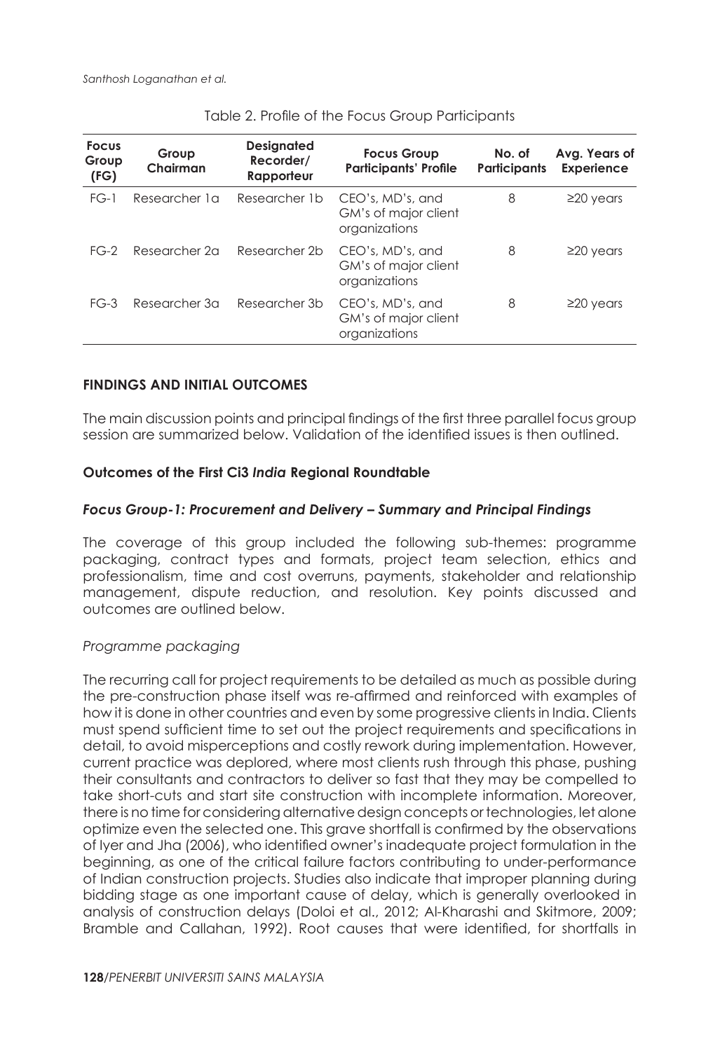| <b>Focus</b><br>Group<br>(FG) | Group<br>Chairman | <b>Designated</b><br>Recorder/<br>Rapporteur | <b>Focus Group</b><br><b>Participants' Profile</b>        | No. of<br><b>Participants</b> | Avg. Years of<br><b>Experience</b> |
|-------------------------------|-------------------|----------------------------------------------|-----------------------------------------------------------|-------------------------------|------------------------------------|
| $FG-1$                        | Researcher 1 a    | Researcher 1b                                | CEO's, MD's, and<br>GM's of major client<br>organizations | 8                             | $\geq$ 20 years                    |
| $FG-2$                        | Researcher 2a     | Researcher 2b                                | CEO's, MD's, and<br>GM's of major client<br>organizations | 8                             | $\geq$ 20 years                    |
| $FG-3$                        | Researcher 3a     | Researcher 3b                                | CEO's, MD's, and<br>GM's of major client<br>organizations | 8                             | $\geq$ 20 years                    |

| Table 2. Profile of the Focus Group Participants |
|--------------------------------------------------|
|--------------------------------------------------|

### **FINDINGS AND INITIAL OUTCOMES**

The main discussion points and principal findings of the first three parallel focus group session are summarized below. Validation of the identified issues is then outlined.

### **Outcomes of the First Ci3** *India* **Regional Roundtable**

### *Focus Group-1: Procurement and Delivery – Summary and Principal Findings*

The coverage of this group included the following sub-themes: programme packaging, contract types and formats, project team selection, ethics and professionalism, time and cost overruns, payments, stakeholder and relationship management, dispute reduction, and resolution. Key points discussed and outcomes are outlined below.

#### *Programme packaging*

The recurring call for project requirements to be detailed as much as possible during the pre-construction phase itself was re-affirmed and reinforced with examples of how it is done in other countries and even by some progressive clients in India. Clients must spend sufficient time to set out the project requirements and specifications in detail, to avoid misperceptions and costly rework during implementation. However, current practice was deplored, where most clients rush through this phase, pushing their consultants and contractors to deliver so fast that they may be compelled to take short-cuts and start site construction with incomplete information. Moreover, there is no time for considering alternative design concepts or technologies, let alone optimize even the selected one. This grave shortfall is confirmed by the observations of Iyer and Jha (2006), who identified owner's inadequate project formulation in the beginning, as one of the critical failure factors contributing to under-performance of Indian construction projects. Studies also indicate that improper planning during bidding stage as one important cause of delay, which is generally overlooked in analysis of construction delays (Doloi et al., 2012; Al-Kharashi and Skitmore, 2009; Bramble and Callahan, 1992). Root causes that were identified, for shortfalls in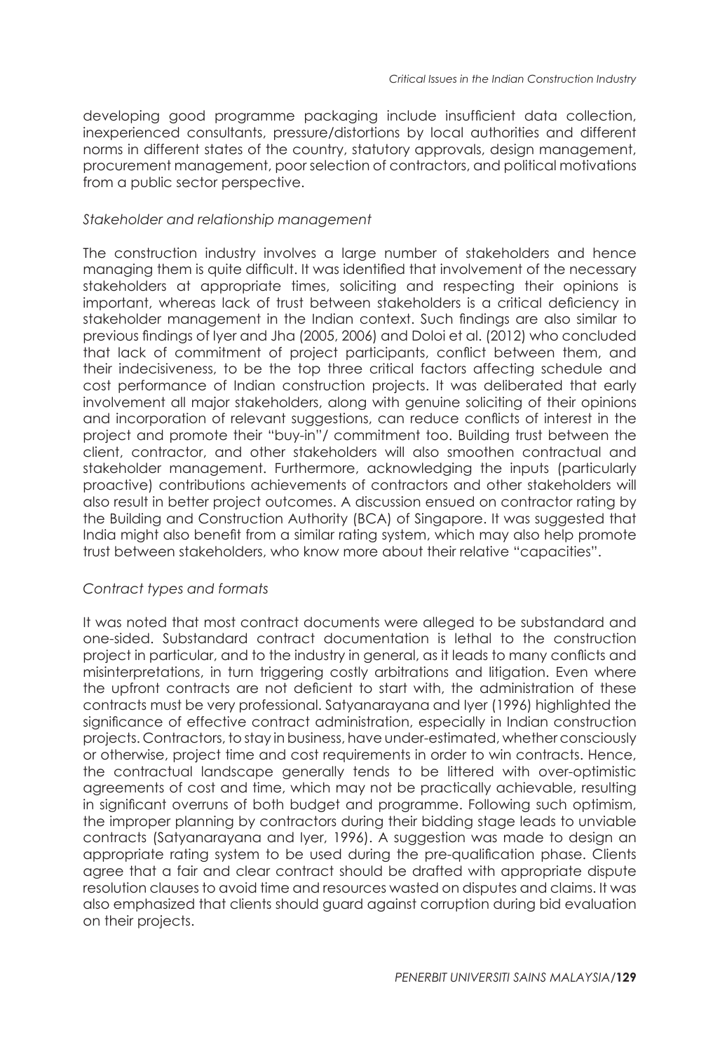developing good programme packaging include insufficient data collection, inexperienced consultants, pressure/distortions by local authorities and different norms in different states of the country, statutory approvals, design management, procurement management, poor selection of contractors, and political motivations from a public sector perspective.

#### *Stakeholder and relationship management*

The construction industry involves a large number of stakeholders and hence managing them is quite difficult. It was identified that involvement of the necessary stakeholders at appropriate times, soliciting and respecting their opinions is important, whereas lack of trust between stakeholders is a critical deficiency in stakeholder management in the Indian context. Such findings are also similar to previous findings of Iyer and Jha (2005, 2006) and Doloi et al. (2012) who concluded that lack of commitment of project participants, conflict between them, and their indecisiveness, to be the top three critical factors affecting schedule and cost performance of Indian construction projects. It was deliberated that early involvement all major stakeholders, along with genuine soliciting of their opinions and incorporation of relevant suggestions, can reduce conflicts of interest in the project and promote their "buy-in"/ commitment too. Building trust between the client, contractor, and other stakeholders will also smoothen contractual and stakeholder management. Furthermore, acknowledging the inputs (particularly proactive) contributions achievements of contractors and other stakeholders will also result in better project outcomes. A discussion ensued on contractor rating by the Building and Construction Authority (BCA) of Singapore. It was suggested that India might also benefit from a similar rating system, which may also help promote trust between stakeholders, who know more about their relative "capacities".

# *Contract types and formats*

It was noted that most contract documents were alleged to be substandard and one-sided. Substandard contract documentation is lethal to the construction project in particular, and to the industry in general, as it leads to many conflicts and misinterpretations, in turn triggering costly arbitrations and litigation. Even where the upfront contracts are not deficient to start with, the administration of these contracts must be very professional. Satyanarayana and Iyer (1996) highlighted the significance of effective contract administration, especially in Indian construction projects. Contractors, to stay in business, have under-estimated, whether consciously or otherwise, project time and cost requirements in order to win contracts. Hence, the contractual landscape generally tends to be littered with over-optimistic agreements of cost and time, which may not be practically achievable, resulting in significant overruns of both budget and programme. Following such optimism, the improper planning by contractors during their bidding stage leads to unviable contracts (Satyanarayana and Iyer, 1996). A suggestion was made to design an appropriate rating system to be used during the pre-qualification phase. Clients agree that a fair and clear contract should be drafted with appropriate dispute resolution clauses to avoid time and resources wasted on disputes and claims. It was also emphasized that clients should guard against corruption during bid evaluation on their projects.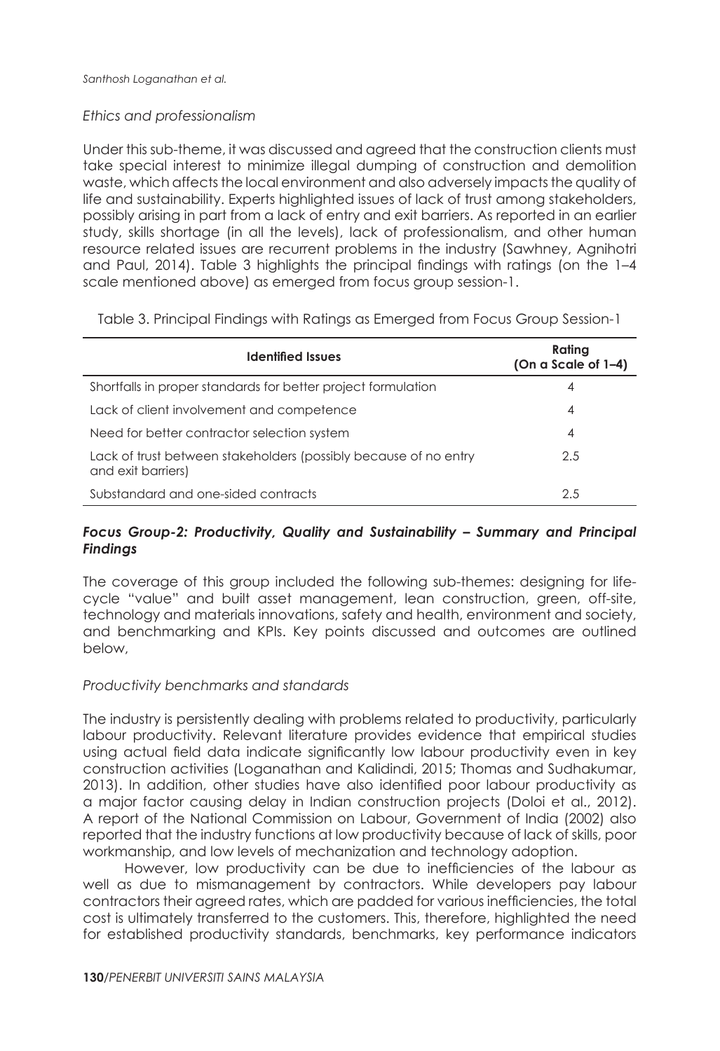#### *Ethics and professionalism*

Under this sub-theme, it was discussed and agreed that the construction clients must take special interest to minimize illegal dumping of construction and demolition waste, which affects the local environment and also adversely impacts the quality of life and sustainability. Experts highlighted issues of lack of trust among stakeholders, possibly arising in part from a lack of entry and exit barriers. As reported in an earlier study, skills shortage (in all the levels), lack of professionalism, and other human resource related issues are recurrent problems in the industry (Sawhney, Agnihotri and Paul, 2014). Table 3 highlights the principal findings with ratings (on the 1–4 scale mentioned above) as emerged from focus group session-1.

Table 3. Principal Findings with Ratings as Emerged from Focus Group Session-1

| <b>Identified Issues</b>                                                               | Rating<br>(On a Scale of 1-4) |
|----------------------------------------------------------------------------------------|-------------------------------|
| Shortfalls in proper standards for better project formulation                          | 4                             |
| Lack of client involvement and competence                                              | 4                             |
| Need for better contractor selection system                                            | 4                             |
| Lack of trust between stakeholders (possibly because of no entry<br>and exit barriers) | 2.5                           |
| Substandard and one-sided contracts                                                    | 2.5                           |

### *Focus Group-2: Productivity, Quality and Sustainability – Summary and Principal Findings*

The coverage of this group included the following sub-themes: designing for lifecycle "value" and built asset management, lean construction, green, off-site, technology and materials innovations, safety and health, environment and society, and benchmarking and KPIs. Key points discussed and outcomes are outlined below,

#### *Productivity benchmarks and standards*

The industry is persistently dealing with problems related to productivity, particularly labour productivity. Relevant literature provides evidence that empirical studies using actual field data indicate significantly low labour productivity even in key construction activities (Loganathan and Kalidindi, 2015; Thomas and Sudhakumar, 2013). In addition, other studies have also identified poor labour productivity as a major factor causing delay in Indian construction projects (Doloi et al., 2012). A report of the National Commission on Labour, Government of India (2002) also reported that the industry functions at low productivity because of lack of skills, poor workmanship, and low levels of mechanization and technology adoption.

However, low productivity can be due to inefficiencies of the labour as well as due to mismanagement by contractors. While developers pay labour contractors their agreed rates, which are padded for various inefficiencies, the total cost is ultimately transferred to the customers. This, therefore, highlighted the need for established productivity standards, benchmarks, key performance indicators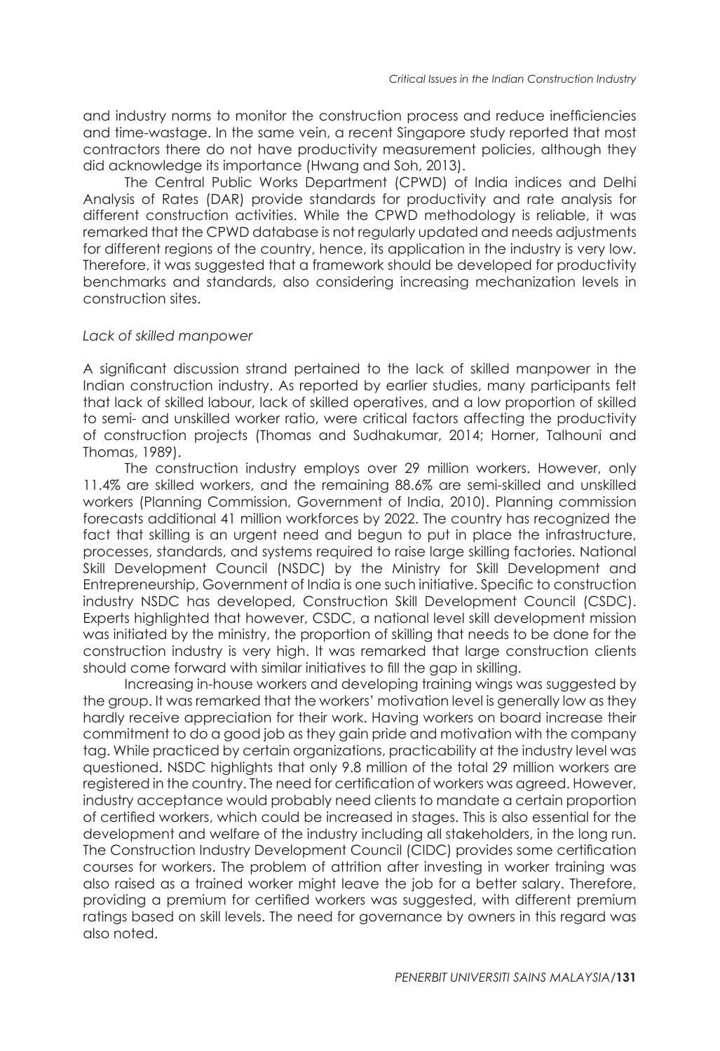and industry norms to monitor the construction process and reduce inefficiencies and time-wastage. In the same vein, a recent Singapore study reported that most contractors there do not have productivity measurement policies, although they did acknowledge its importance (Hwang and Soh, 2013).

The Central Public Works Department (CPWD) of India indices and Delhi Analysis of Rates (DAR) provide standards for productivity and rate analysis for different construction activities. While the CPWD methodology is reliable, it was remarked that the CPWD database is not regularly updated and needs adjustments for different regions of the country, hence, its application in the industry is very low. Therefore, it was suggested that a framework should be developed for productivity benchmarks and standards, also considering increasing mechanization levels in construction sites.

#### *Lack of skilled manpower*

A significant discussion strand pertained to the lack of skilled manpower in the Indian construction industry. As reported by earlier studies, many participants felt that lack of skilled labour, lack of skilled operatives, and a low proportion of skilled to semi- and unskilled worker ratio, were critical factors affecting the productivity of construction projects (Thomas and Sudhakumar, 2014; Horner, Talhouni and Thomas, 1989).

The construction industry employs over 29 million workers. However, only 11.4% are skilled workers, and the remaining 88.6% are semi-skilled and unskilled workers (Planning Commission, Government of India, 2010). Planning commission forecasts additional 41 million workforces by 2022. The country has recognized the fact that skilling is an urgent need and begun to put in place the infrastructure, processes, standards, and systems required to raise large skilling factories. National Skill Development Council (NSDC) by the Ministry for Skill Development and Entrepreneurship, Government of India is one such initiative. Specific to construction industry NSDC has developed, Construction Skill Development Council (CSDC). Experts highlighted that however, CSDC, a national level skill development mission was initiated by the ministry, the proportion of skilling that needs to be done for the construction industry is very high. It was remarked that large construction clients should come forward with similar initiatives to fill the gap in skilling.

Increasing in-house workers and developing training wings was suggested by the group. It was remarked that the workers' motivation level is generally low as they hardly receive appreciation for their work. Having workers on board increase their commitment to do a good job as they gain pride and motivation with the company tag. While practiced by certain organizations, practicability at the industry level was questioned. NSDC highlights that only 9.8 million of the total 29 million workers are registered in the country. The need for certification of workers was agreed. However, industry acceptance would probably need clients to mandate a certain proportion of certified workers, which could be increased in stages. This is also essential for the development and welfare of the industry including all stakeholders, in the long run. The Construction Industry Development Council (CIDC) provides some certification courses for workers. The problem of attrition after investing in worker training was also raised as a trained worker might leave the job for a better salary. Therefore, providing a premium for certified workers was suggested, with different premium ratings based on skill levels. The need for governance by owners in this regard was also noted.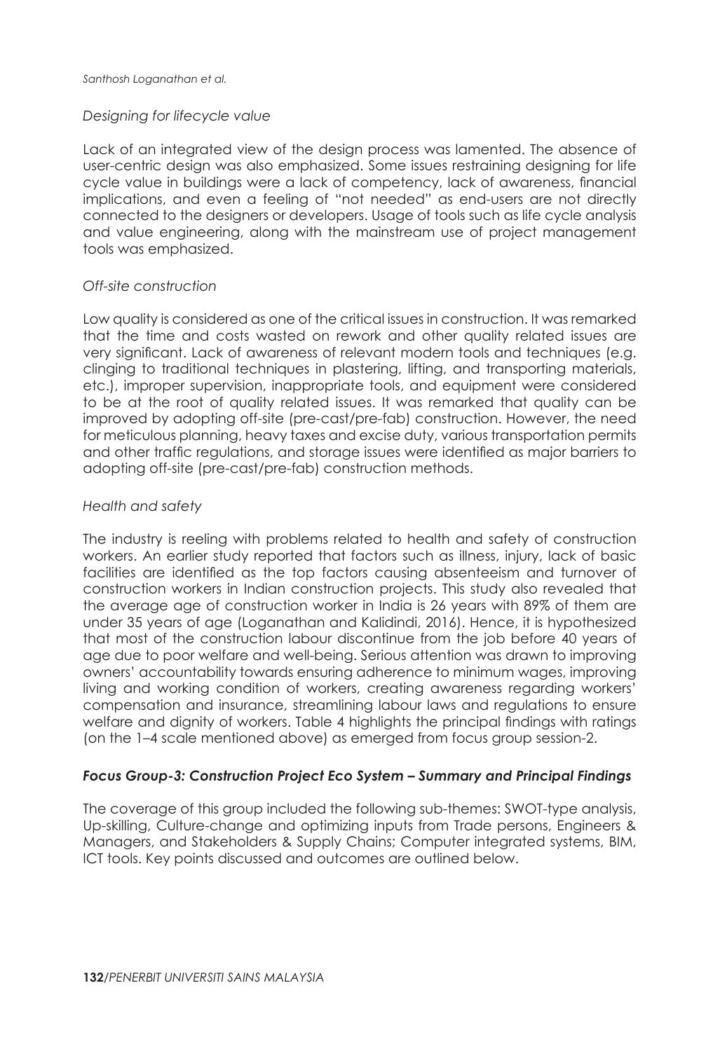#### *Designing for lifecycle value*

Lack of an integrated view of the design process was lamented. The absence of user-centric design was also emphasized. Some issues restraining designing for life cycle value in buildings were a lack of competency, lack of awareness, financial implications, and even a feeling of "not needed" as end-users are not directly connected to the designers or developers. Usage of tools such as life cycle analysis and value engineering, along with the mainstream use of project management tools was emphasized.

### *Off-site construction*

Low quality is considered as one of the critical issues in construction. It was remarked that the time and costs wasted on rework and other quality related issues are very significant. Lack of awareness of relevant modern tools and techniques (e.g. clinging to traditional techniques in plastering, lifting, and transporting materials, etc.), improper supervision, inappropriate tools, and equipment were considered to be at the root of quality related issues. It was remarked that quality can be improved by adopting off-site (pre-cast/pre-fab) construction. However, the need for meticulous planning, heavy taxes and excise duty, various transportation permits and other traffic regulations, and storage issues were identified as major barriers to adopting off-site (pre-cast/pre-fab) construction methods.

### *Health and safety*

The industry is reeling with problems related to health and safety of construction workers. An earlier study reported that factors such as illness, injury, lack of basic facilities are identified as the top factors causing absenteeism and turnover of construction workers in Indian construction projects. This study also revealed that the average age of construction worker in India is 26 years with 89% of them are under 35 years of age (Loganathan and Kalidindi, 2016). Hence, it is hypothesized that most of the construction labour discontinue from the job before 40 years of age due to poor welfare and well-being. Serious attention was drawn to improving owners' accountability towards ensuring adherence to minimum wages, improving living and working condition of workers, creating awareness regarding workers' compensation and insurance, streamlining labour laws and regulations to ensure welfare and dignity of workers. Table 4 highlights the principal findings with ratings (on the 1–4 scale mentioned above) as emerged from focus group session-2.

# *Focus Group-3: Construction Project Eco System – Summary and Principal Findings*

The coverage of this group included the following sub-themes: SWOT-type analysis, Up-skilling, Culture-change and optimizing inputs from Trade persons, Engineers & Managers, and Stakeholders & Supply Chains; Computer integrated systems, BIM, ICT tools. Key points discussed and outcomes are outlined below.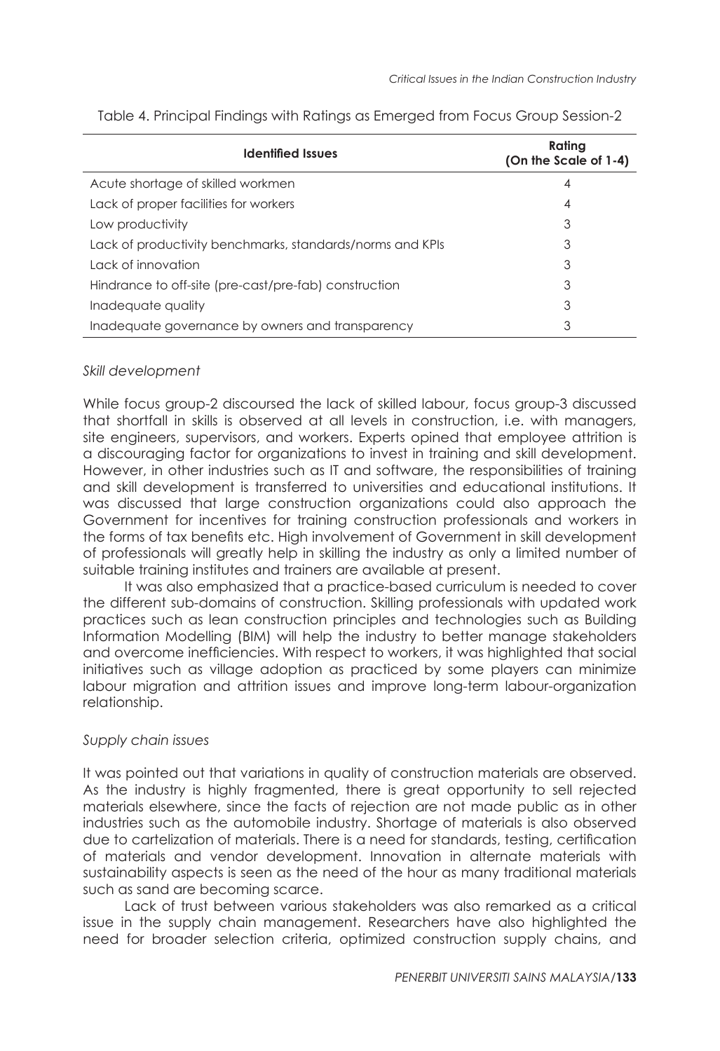| <b>Identified Issues</b>                                  | Rating<br>(On the Scale of 1-4) |
|-----------------------------------------------------------|---------------------------------|
| Acute shortage of skilled workmen                         | 4                               |
| Lack of proper facilities for workers                     | 4                               |
| Low productivity                                          | 3                               |
| Lack of productivity benchmarks, standards/norms and KPIs | 3                               |
| Lack of innovation                                        | 3                               |
| Hindrance to off-site (pre-cast/pre-fab) construction     | 3                               |
| Inadequate quality                                        | 3                               |
| Inadequate governance by owners and transparency          | 3                               |

Table 4. Principal Findings with Ratings as Emerged from Focus Group Session-2

### *Skill development*

While focus group-2 discoursed the lack of skilled labour, focus group-3 discussed that shortfall in skills is observed at all levels in construction, i.e. with managers, site engineers, supervisors, and workers. Experts opined that employee attrition is a discouraging factor for organizations to invest in training and skill development. However, in other industries such as IT and software, the responsibilities of training and skill development is transferred to universities and educational institutions. It was discussed that large construction organizations could also approach the Government for incentives for training construction professionals and workers in the forms of tax benefits etc. High involvement of Government in skill development of professionals will greatly help in skilling the industry as only a limited number of suitable training institutes and trainers are available at present.

It was also emphasized that a practice-based curriculum is needed to cover the different sub-domains of construction. Skilling professionals with updated work practices such as lean construction principles and technologies such as Building Information Modelling (BIM) will help the industry to better manage stakeholders and overcome inefficiencies. With respect to workers, it was highlighted that social initiatives such as village adoption as practiced by some players can minimize labour migration and attrition issues and improve long-term labour-organization relationship.

#### *Supply chain issues*

It was pointed out that variations in quality of construction materials are observed. As the industry is highly fragmented, there is great opportunity to sell rejected materials elsewhere, since the facts of rejection are not made public as in other industries such as the automobile industry. Shortage of materials is also observed due to cartelization of materials. There is a need for standards, testing, certification of materials and vendor development. Innovation in alternate materials with sustainability aspects is seen as the need of the hour as many traditional materials such as sand are becoming scarce.

Lack of trust between various stakeholders was also remarked as a critical issue in the supply chain management. Researchers have also highlighted the need for broader selection criteria, optimized construction supply chains, and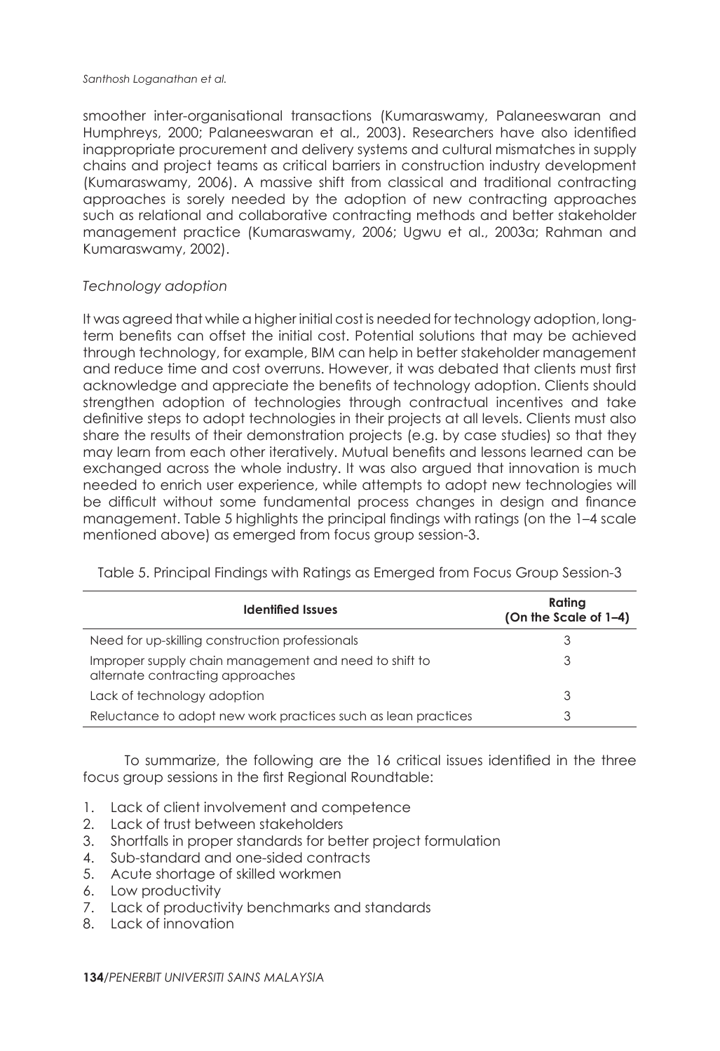smoother inter-organisational transactions (Kumaraswamy, Palaneeswaran and Humphreys, 2000; Palaneeswaran et al., 2003). Researchers have also identified inappropriate procurement and delivery systems and cultural mismatches in supply chains and project teams as critical barriers in construction industry development (Kumaraswamy, 2006). A massive shift from classical and traditional contracting approaches is sorely needed by the adoption of new contracting approaches such as relational and collaborative contracting methods and better stakeholder management practice (Kumaraswamy, 2006; Ugwu et al., 2003a; Rahman and Kumaraswamy, 2002).

# *Technology adoption*

It was agreed that while a higher initial cost is needed for technology adoption, longterm benefits can offset the initial cost. Potential solutions that may be achieved through technology, for example, BIM can help in better stakeholder management and reduce time and cost overruns. However, it was debated that clients must first acknowledge and appreciate the benefits of technology adoption. Clients should strengthen adoption of technologies through contractual incentives and take definitive steps to adopt technologies in their projects at all levels. Clients must also share the results of their demonstration projects (e.g. by case studies) so that they may learn from each other iteratively. Mutual benefits and lessons learned can be exchanged across the whole industry. It was also argued that innovation is much needed to enrich user experience, while attempts to adopt new technologies will be difficult without some fundamental process changes in design and finance management. Table 5 highlights the principal findings with ratings (on the 1–4 scale mentioned above) as emerged from focus group session-3.

| <b>Identified Issues</b>                                                                  | Rating<br>(On the Scale of 1-4) |
|-------------------------------------------------------------------------------------------|---------------------------------|
| Need for up-skilling construction professionals                                           | 3                               |
| Improper supply chain management and need to shift to<br>alternate contracting approaches | 3                               |
| Lack of technology adoption                                                               | 3                               |
| Reluctance to adopt new work practices such as lean practices                             | 3                               |

Table 5. Principal Findings with Ratings as Emerged from Focus Group Session-3

To summarize, the following are the 16 critical issues identified in the three focus group sessions in the first Regional Roundtable:

- 1. Lack of client involvement and competence
- 2. Lack of trust between stakeholders
- 3. Shortfalls in proper standards for better project formulation
- 4. Sub-standard and one-sided contracts
- 5. Acute shortage of skilled workmen
- 6. Low productivity
- 7. Lack of productivity benchmarks and standards
- 8. Lack of innovation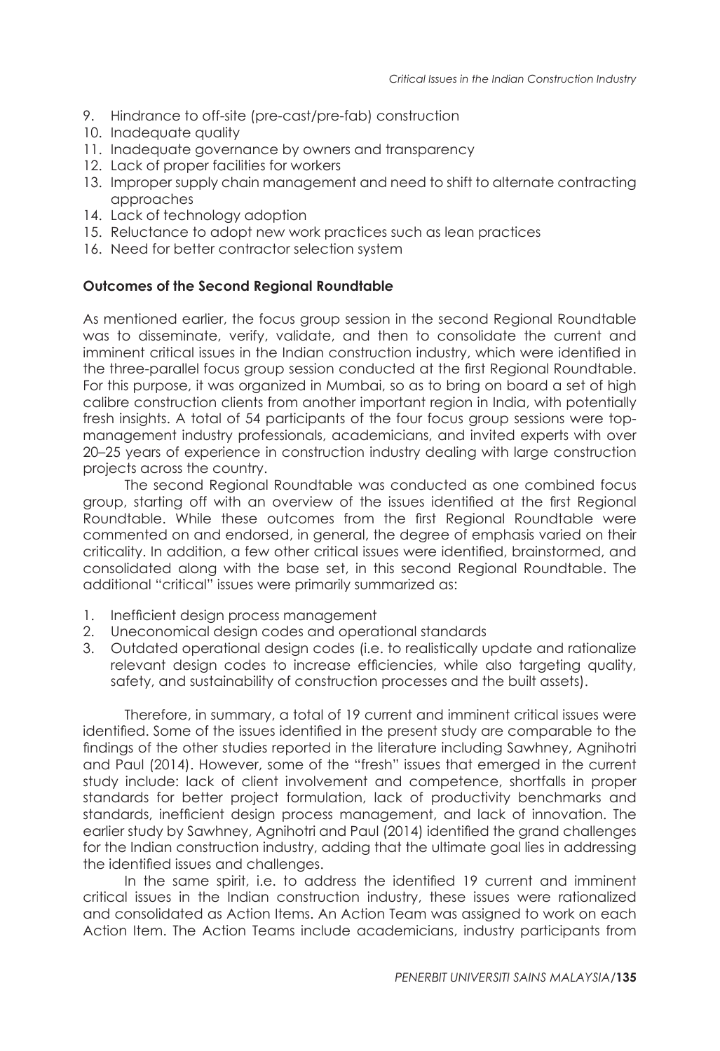- 9. Hindrance to off-site (pre-cast/pre-fab) construction
- 10. Inadequate quality
- 11. Inadequate governance by owners and transparency
- 12. Lack of proper facilities for workers
- 13. Improper supply chain management and need to shift to alternate contracting approaches
- 14. Lack of technology adoption
- 15. Reluctance to adopt new work practices such as lean practices
- 16. Need for better contractor selection system

### **Outcomes of the Second Regional Roundtable**

As mentioned earlier, the focus group session in the second Regional Roundtable was to disseminate, verify, validate, and then to consolidate the current and imminent critical issues in the Indian construction industry, which were identified in the three-parallel focus group session conducted at the first Regional Roundtable. For this purpose, it was organized in Mumbai, so as to bring on board a set of high calibre construction clients from another important region in India, with potentially fresh insights. A total of 54 participants of the four focus group sessions were topmanagement industry professionals, academicians, and invited experts with over 20–25 years of experience in construction industry dealing with large construction projects across the country.

The second Regional Roundtable was conducted as one combined focus group, starting off with an overview of the issues identified at the first Regional Roundtable. While these outcomes from the first Regional Roundtable were commented on and endorsed, in general, the degree of emphasis varied on their criticality. In addition, a few other critical issues were identified, brainstormed, and consolidated along with the base set, in this second Regional Roundtable. The additional "critical" issues were primarily summarized as:

- 1. Inefficient design process management
- 2. Uneconomical design codes and operational standards
- 3. Outdated operational design codes (i.e. to realistically update and rationalize relevant design codes to increase efficiencies, while also targeting quality, safety, and sustainability of construction processes and the built assets).

Therefore, in summary, a total of 19 current and imminent critical issues were identified. Some of the issues identified in the present study are comparable to the findings of the other studies reported in the literature including Sawhney, Agnihotri and Paul (2014). However, some of the "fresh" issues that emerged in the current study include: lack of client involvement and competence, shortfalls in proper standards for better project formulation, lack of productivity benchmarks and standards, inefficient design process management, and lack of innovation. The earlier study by Sawhney, Agnihotri and Paul (2014) identified the grand challenges for the Indian construction industry, adding that the ultimate goal lies in addressing the identified issues and challenges.

In the same spirit, i.e. to address the identified 19 current and imminent critical issues in the Indian construction industry, these issues were rationalized and consolidated as Action Items. An Action Team was assigned to work on each Action Item. The Action Teams include academicians, industry participants from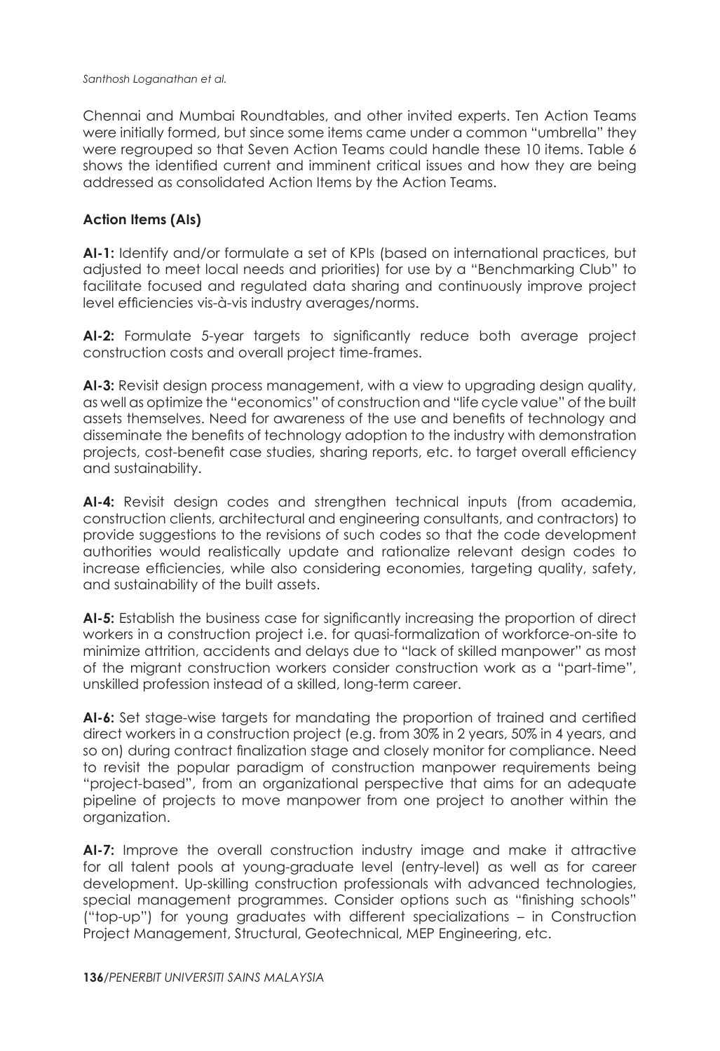Chennai and Mumbai Roundtables, and other invited experts. Ten Action Teams were initially formed, but since some items came under a common "umbrella" they were regrouped so that Seven Action Teams could handle these 10 items. Table 6 shows the identified current and imminent critical issues and how they are being addressed as consolidated Action Items by the Action Teams.

# **Action Items (AIs)**

**AI-1:** Identify and/or formulate a set of KPIs (based on international practices, but adjusted to meet local needs and priorities) for use by a "Benchmarking Club" to facilitate focused and regulated data sharing and continuously improve project level efficiencies vis-à-vis industry averages/norms.

**AI-2:** Formulate 5-year targets to significantly reduce both average project construction costs and overall project time-frames.

**AI-3:** Revisit design process management, with a view to upgrading design quality, as well as optimize the "economics" of construction and "life cycle value" of the built assets themselves. Need for awareness of the use and benefits of technology and disseminate the benefits of technology adoption to the industry with demonstration projects, cost-benefit case studies, sharing reports, etc. to target overall efficiency and sustainability.

**AI-4:** Revisit design codes and strengthen technical inputs (from academia, construction clients, architectural and engineering consultants, and contractors) to provide suggestions to the revisions of such codes so that the code development authorities would realistically update and rationalize relevant design codes to increase efficiencies, while also considering economies, targeting quality, safety, and sustainability of the built assets.

**AI-5:** Establish the business case for significantly increasing the proportion of direct workers in a construction project i.e. for quasi-formalization of workforce-on-site to minimize attrition, accidents and delays due to "lack of skilled manpower" as most of the migrant construction workers consider construction work as a "part-time", unskilled profession instead of a skilled, long-term career.

**AI-6:** Set stage-wise targets for mandating the proportion of trained and certified direct workers in a construction project (e.g. from 30% in 2 years, 50% in 4 years, and so on) during contract finalization stage and closely monitor for compliance. Need to revisit the popular paradigm of construction manpower requirements being "project-based", from an organizational perspective that aims for an adequate pipeline of projects to move manpower from one project to another within the organization.

**AI-7:** Improve the overall construction industry image and make it attractive for all talent pools at young-graduate level (entry-level) as well as for career development. Up-skilling construction professionals with advanced technologies, special management programmes. Consider options such as "finishing schools" ("top-up") for young graduates with different specializations – in Construction Project Management, Structural, Geotechnical, MEP Engineering, etc.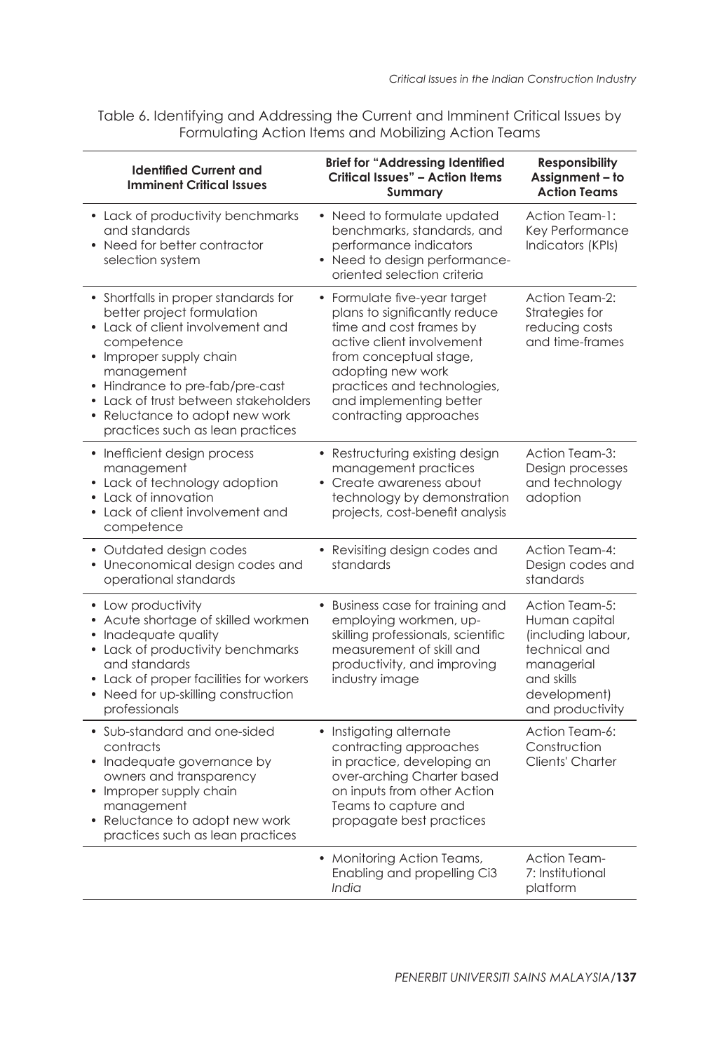Table 6. Identifying and Addressing the Current and Imminent Critical Issues by Formulating Action Items and Mobilizing Action Teams

| <b>Identified Current and</b><br><b>Imminent Critical Issues</b>                                                                                                                                                                                                                                               | <b>Brief for "Addressing Identified</b><br><b>Critical Issues" - Action Items</b><br>Summarv                                                                                                                                                             | <b>Responsibility</b><br>Assignment - to<br><b>Action Teams</b>                                                                        |
|----------------------------------------------------------------------------------------------------------------------------------------------------------------------------------------------------------------------------------------------------------------------------------------------------------------|----------------------------------------------------------------------------------------------------------------------------------------------------------------------------------------------------------------------------------------------------------|----------------------------------------------------------------------------------------------------------------------------------------|
| • Lack of productivity benchmarks<br>and standards<br>• Need for better contractor<br>selection system                                                                                                                                                                                                         | • Need to formulate updated<br>benchmarks, standards, and<br>performance indicators<br>• Need to design performance-<br>oriented selection criteria                                                                                                      | Action Team-1:<br>Key Performance<br>Indicators (KPIs)                                                                                 |
| • Shortfalls in proper standards for<br>better project formulation<br>• Lack of client involvement and<br>competence<br>• Improper supply chain<br>management<br>• Hindrance to pre-fab/pre-cast<br>• Lack of trust between stakeholders<br>• Reluctance to adopt new work<br>practices such as lean practices | • Formulate five-year target<br>plans to significantly reduce<br>time and cost frames by<br>active client involvement<br>from conceptual stage,<br>adopting new work<br>practices and technologies,<br>and implementing better<br>contracting approaches | Action Team-2:<br>Strategies for<br>reducing costs<br>and time-frames                                                                  |
| • Inefficient design process<br>management<br>• Lack of technology adoption<br>• Lack of innovation<br>• Lack of client involvement and<br>competence                                                                                                                                                          | • Restructuring existing design<br>management practices<br>• Create awareness about<br>technology by demonstration<br>projects, cost-benefit analysis                                                                                                    | Action Team-3:<br>Design processes<br>and technology<br>adoption                                                                       |
| • Outdated design codes<br>• Uneconomical design codes and<br>operational standards                                                                                                                                                                                                                            | • Revisiting design codes and<br>standards                                                                                                                                                                                                               | Action Team-4:<br>Design codes and<br>standards                                                                                        |
| • Low productivity<br>• Acute shortage of skilled workmen<br>• Inadequate quality<br>• Lack of productivity benchmarks<br>and standards<br>• Lack of proper facilities for workers<br>• Need for up-skilling construction<br>professionals                                                                     | • Business case for training and<br>employing workmen, up-<br>skilling professionals, scientific<br>measurement of skill and<br>productivity, and improving<br>industry image                                                                            | Action Team-5:<br>Human capital<br>(including labour,<br>technical and<br>managerial<br>and skills<br>development)<br>and productivity |
| • Sub-standard and one-sided<br>contracts<br>• Inadequate governance by<br>owners and transparency<br>• Improper supply chain<br>management<br>• Reluctance to adopt new work<br>practices such as lean practices                                                                                              | • Instigating alternate<br>contracting approaches<br>in practice, developing an<br>over-arching Charter based<br>on inputs from other Action<br>Teams to capture and<br>propagate best practices                                                         | Action Team-6:<br>Construction<br>Clients' Charter                                                                                     |
|                                                                                                                                                                                                                                                                                                                | • Monitoring Action Teams,<br>Enabling and propelling Ci3<br>India                                                                                                                                                                                       | <b>Action Team-</b><br>7: Institutional<br>platform                                                                                    |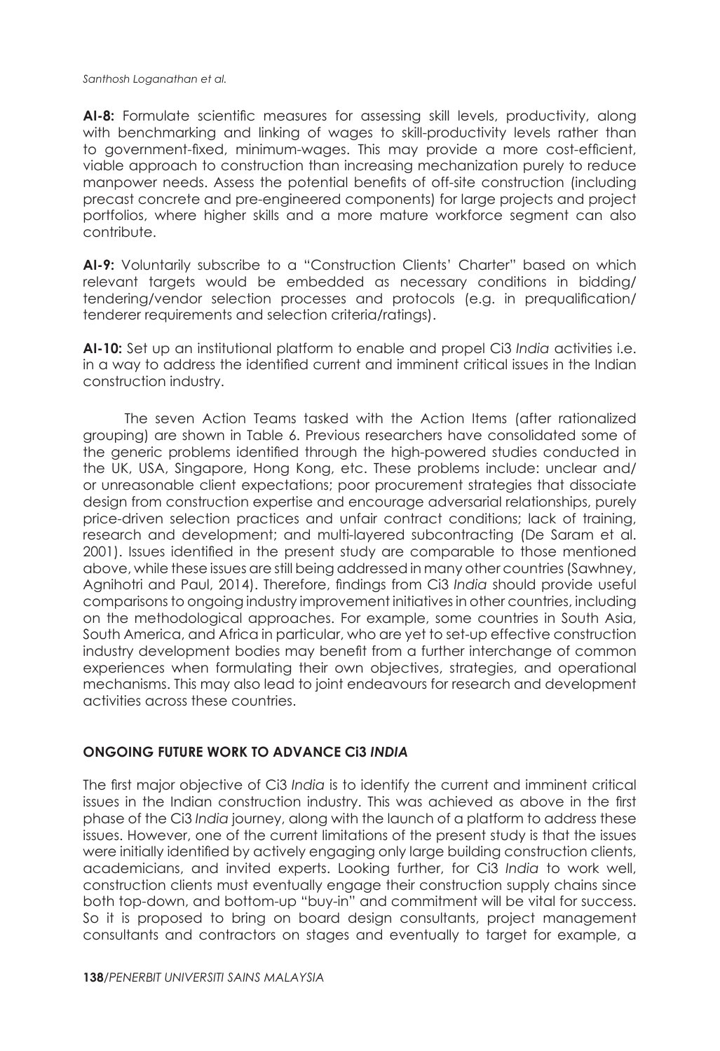**AI-8:** Formulate scientific measures for assessing skill levels, productivity, along with benchmarking and linking of wages to skill-productivity levels rather than to government-fixed, minimum-wages. This may provide a more cost-efficient, viable approach to construction than increasing mechanization purely to reduce manpower needs. Assess the potential benefits of off-site construction (including precast concrete and pre-engineered components) for large projects and project portfolios, where higher skills and a more mature workforce segment can also contribute.

**AI-9:** Voluntarily subscribe to a "Construction Clients' Charter" based on which relevant targets would be embedded as necessary conditions in bidding/ tendering/vendor selection processes and protocols (e.g. in prequalification/ tenderer requirements and selection criteria/ratings).

**AI-10:** Set up an institutional platform to enable and propel Ci3 *India* activities i.e. in a way to address the identified current and imminent critical issues in the Indian construction industry.

The seven Action Teams tasked with the Action Items (after rationalized grouping) are shown in Table 6. Previous researchers have consolidated some of the generic problems identified through the high-powered studies conducted in the UK, USA, Singapore, Hong Kong, etc. These problems include: unclear and/ or unreasonable client expectations; poor procurement strategies that dissociate design from construction expertise and encourage adversarial relationships, purely price-driven selection practices and unfair contract conditions; lack of training, research and development; and multi-layered subcontracting (De Saram et al. 2001). Issues identified in the present study are comparable to those mentioned above, while these issues are still being addressed in many other countries (Sawhney, Agnihotri and Paul, 2014). Therefore, findings from Ci3 *India* should provide useful comparisons to ongoing industry improvement initiatives in other countries, including on the methodological approaches. For example, some countries in South Asia, South America, and Africa in particular, who are yet to set-up effective construction industry development bodies may benefit from a further interchange of common experiences when formulating their own objectives, strategies, and operational mechanisms. This may also lead to joint endeavours for research and development activities across these countries.

# **ONGOING FUTURE WORK TO ADVANCE Ci3** *INDIA*

The first major objective of Ci3 *India* is to identify the current and imminent critical issues in the Indian construction industry. This was achieved as above in the first phase of the Ci3 *India* journey, along with the launch of a platform to address these issues. However, one of the current limitations of the present study is that the issues were initially identified by actively engaging only large building construction clients, academicians, and invited experts. Looking further, for Ci3 *India* to work well, construction clients must eventually engage their construction supply chains since both top-down, and bottom-up "buy-in" and commitment will be vital for success. So it is proposed to bring on board design consultants, project management consultants and contractors on stages and eventually to target for example, a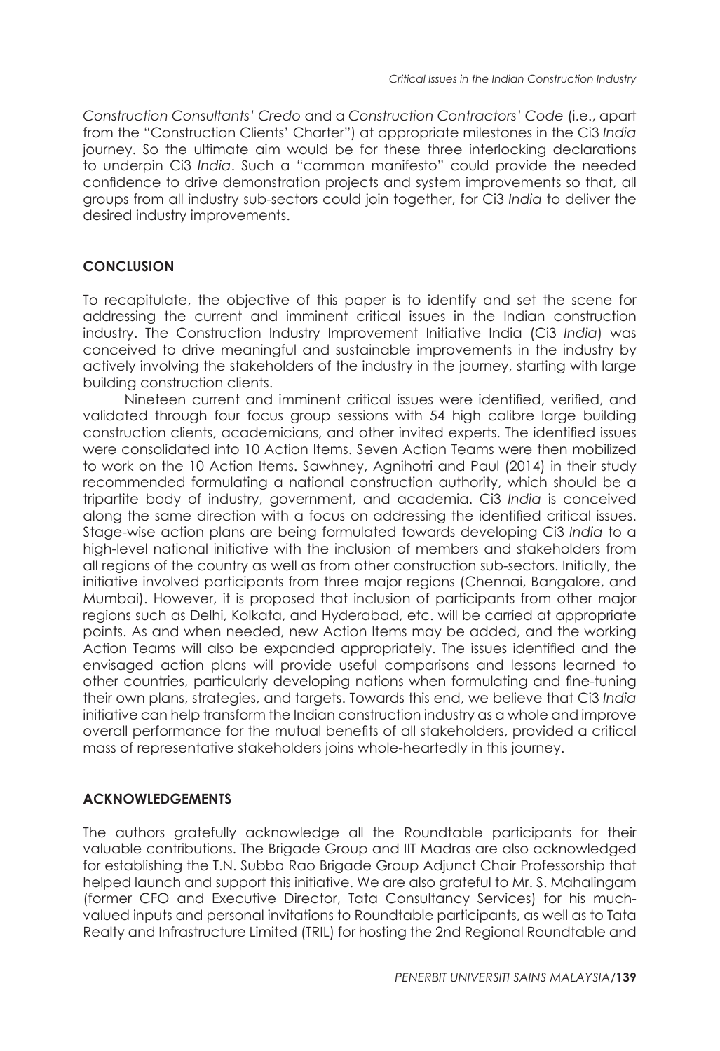*Construction Consultants' Credo* and a *Construction Contractors' Code* (i.e., apart from the "Construction Clients' Charter") at appropriate milestones in the Ci3 *India*  journey. So the ultimate aim would be for these three interlocking declarations to underpin Ci3 *India*. Such a "common manifesto" could provide the needed confidence to drive demonstration projects and system improvements so that, all groups from all industry sub-sectors could join together, for Ci3 *India* to deliver the desired industry improvements.

# **CONCLUSION**

To recapitulate, the objective of this paper is to identify and set the scene for addressing the current and imminent critical issues in the Indian construction industry. The Construction Industry Improvement Initiative India (Ci3 *India*) was conceived to drive meaningful and sustainable improvements in the industry by actively involving the stakeholders of the industry in the journey, starting with large building construction clients.

Nineteen current and imminent critical issues were identified, verified, and validated through four focus group sessions with 54 high calibre large building construction clients, academicians, and other invited experts. The identified issues were consolidated into 10 Action Items. Seven Action Teams were then mobilized to work on the 10 Action Items. Sawhney, Agnihotri and Paul (2014) in their study recommended formulating a national construction authority, which should be a tripartite body of industry, government, and academia. Ci3 *India* is conceived along the same direction with a focus on addressing the identified critical issues. Stage-wise action plans are being formulated towards developing Ci3 *India* to a high-level national initiative with the inclusion of members and stakeholders from all regions of the country as well as from other construction sub-sectors. Initially, the initiative involved participants from three major regions (Chennai, Bangalore, and Mumbai). However, it is proposed that inclusion of participants from other major regions such as Delhi, Kolkata, and Hyderabad, etc. will be carried at appropriate points. As and when needed, new Action Items may be added, and the working Action Teams will also be expanded appropriately. The issues identified and the envisaged action plans will provide useful comparisons and lessons learned to other countries, particularly developing nations when formulating and fine-tuning their own plans, strategies, and targets. Towards this end, we believe that Ci3 *India* initiative can help transform the Indian construction industry as a whole and improve overall performance for the mutual benefits of all stakeholders, provided a critical mass of representative stakeholders joins whole-heartedly in this journey.

# **ACKNOWLEDGEMENTS**

The authors gratefully acknowledge all the Roundtable participants for their valuable contributions. The Brigade Group and IIT Madras are also acknowledged for establishing the T.N. Subba Rao Brigade Group Adjunct Chair Professorship that helped launch and support this initiative. We are also grateful to Mr. S. Mahalingam (former CFO and Executive Director, Tata Consultancy Services) for his muchvalued inputs and personal invitations to Roundtable participants, as well as to Tata Realty and Infrastructure Limited (TRIL) for hosting the 2nd Regional Roundtable and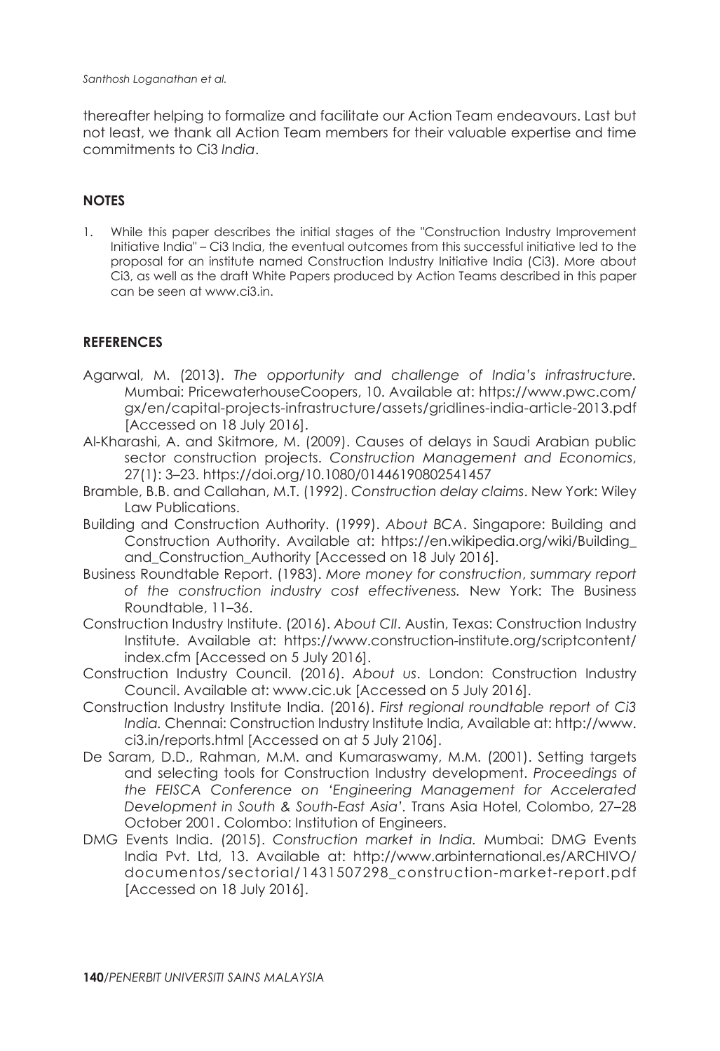thereafter helping to formalize and facilitate our Action Team endeavours. Last but not least, we thank all Action Team members for their valuable expertise and time commitments to Ci3 *India*.

## **NOTES**

1. While this paper describes the initial stages of the "Construction Industry Improvement Initiative India" – Ci3 India, the eventual outcomes from this successful initiative led to the proposal for an institute named Construction Industry Initiative India (Ci3). More about Ci3, as well as the draft White Papers produced by Action Teams described in this paper can be seen at www.ci3.in.

#### **REFERENCES**

- Agarwal, M. (2013). *The opportunity and challenge of India's infrastructure.*  Mumbai: PricewaterhouseCoopers, 10. Available at: https://www.pwc.com/ gx/en/capital-projects-infrastructure/assets/gridlines-india-article-2013.pdf [Accessed on 18 July 2016].
- Al-Kharashi, A. and Skitmore, M. (2009). Causes of delays in Saudi Arabian public sector construction projects. *Construction Management and Economics*, 27(1): 3–23. https://doi.org/10.1080/01446190802541457
- Bramble, B.B. and Callahan, M.T. (1992). *Construction delay claims*. New York: Wiley Law Publications.
- Building and Construction Authority. (1999). *About BCA*. Singapore: Building and Construction Authority. Available at: https://en.wikipedia.org/wiki/Building\_ and\_Construction\_Authority [Accessed on 18 July 2016].
- Business Roundtable Report. (1983). *More money for construction*, *summary report of the construction industry cost effectiveness.* New York: The Business Roundtable, 11–36.
- Construction Industry Institute. (2016). *About CII*. Austin, Texas: Construction Industry Institute. Available at: https://www.construction-institute.org/scriptcontent/ index.cfm [Accessed on 5 July 2016].
- Construction Industry Council. (2016). *About us*. London: Construction Industry Council. Available at: www.cic.uk [Accessed on 5 July 2016].
- Construction Industry Institute India. (2016). *First regional roundtable report of Ci3 India.* Chennai: Construction Industry Institute India, Available at: http://www. ci3.in/reports.html [Accessed on at 5 July 2106].
- De Saram, D.D., Rahman, M.M. and Kumaraswamy, M.M. (2001). Setting targets and selecting tools for Construction Industry development. *Proceedings of the FEISCA Conference on 'Engineering Management for Accelerated Development in South & South-East Asia'.* Trans Asia Hotel, Colombo, 27–28 October 2001. Colombo: Institution of Engineers.
- DMG Events India. (2015). *Construction market in India.* Mumbai: DMG Events India Pvt. Ltd, 13. Available at: http://www.arbinternational.es/ARCHIVO/ documentos/sectorial/1431507298\_construction-market-report.pdf [Accessed on 18 July 2016].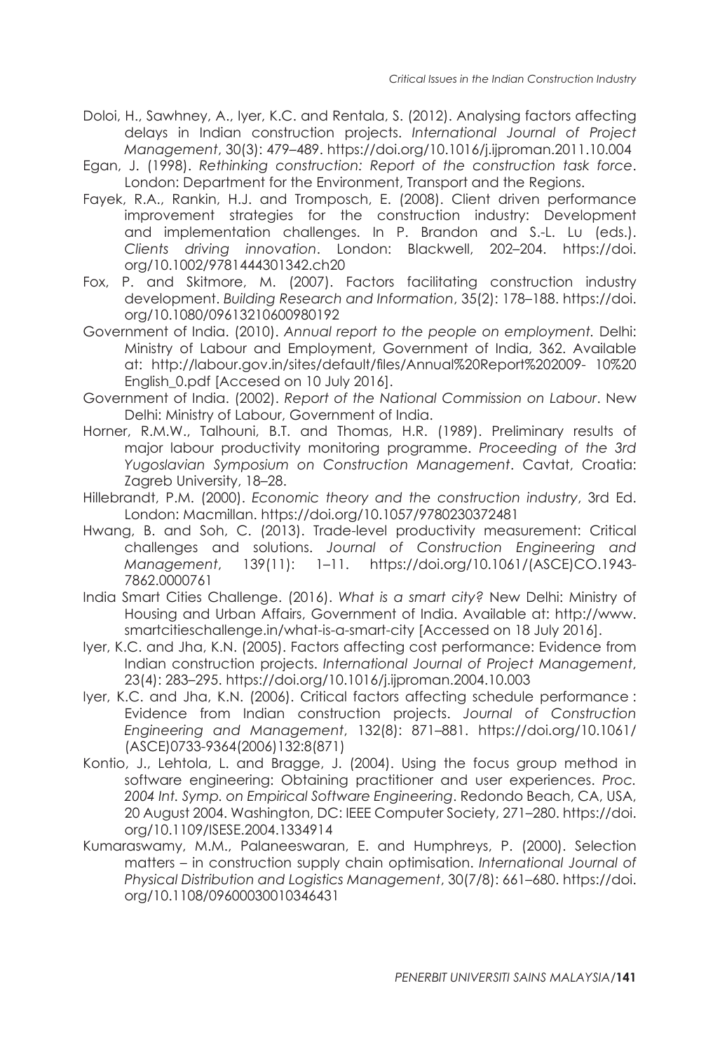- Doloi, H., Sawhney, A., Iyer, K.C. and Rentala, S. (2012). Analysing factors affecting delays in Indian construction projects. *International Journal of Project Management*, 30(3): 479–489. https://doi.org/10.1016/j.ijproman.2011.10.004
- Egan, J. (1998). *Rethinking construction: Report of the construction task force*. London: Department for the Environment, Transport and the Regions.
- Fayek, R.A., Rankin, H.J. and Tromposch, E. (2008). Client driven performance improvement strategies for the construction industry: Development and implementation challenges. In P. Brandon and S.-L. Lu (eds.). *Clients driving innovation*. London: Blackwell, 202–204. https://doi. org/10.1002/9781444301342.ch20
- Fox, P. and Skitmore, M. (2007). Factors facilitating construction industry development. *Building Research and Information*, 35(2): 178–188. https://doi. org/10.1080/09613210600980192
- Government of India. (2010). *Annual report to the people on employment.* Delhi: Ministry of Labour and Employment, Government of India, 362. Available at: http://labour.gov.in/sites/default/files/Annual%20Report%202009- 10%20 English 0.pdf [Accesed on 10 July 2016].
- Government of India. (2002). *Report of the National Commission on Labour*. New Delhi: Ministry of Labour, Government of India.
- Horner, R.M.W., Talhouni, B.T. and Thomas, H.R. (1989). Preliminary results of major labour productivity monitoring programme. *Proceeding of the 3rd Yugoslavian Symposium on Construction Management*. Cavtat, Croatia: Zagreb University, 18–28.
- Hillebrandt, P.M. (2000). *Economic theory and the construction industry*, 3rd Ed. London: Macmillan. https://doi.org/10.1057/9780230372481
- Hwang, B. and Soh, C. (2013). Trade-level productivity measurement: Critical challenges and solutions. *Journal of Construction Engineering and Management*, 139(11): 1–11. https://doi.org/10.1061/(ASCE)CO.1943- 7862.0000761
- India Smart Cities Challenge. (2016). *What is a smart city?* New Delhi: Ministry of Housing and Urban Affairs, Government of India. Available at: http://www. smartcitieschallenge.in/what-is-a-smart-city [Accessed on 18 July 2016].
- Iyer, K.C. and Jha, K.N. (2005). Factors affecting cost performance: Evidence from Indian construction projects. *International Journal of Project Management*, 23(4): 283–295. https://doi.org/10.1016/j.ijproman.2004.10.003
- Iyer, K.C. and Jha, K.N. (2006). Critical factors affecting schedule performance : Evidence from Indian construction projects. *Journal of Construction Engineering and Management*, 132(8): 871–881. https://doi.org/10.1061/ (ASCE)0733-9364(2006)132:8(871)
- Kontio, J., Lehtola, L. and Bragge, J. (2004). Using the focus group method in software engineering: Obtaining practitioner and user experiences. *Proc. 2004 Int. Symp. on Empirical Software Engineering*. Redondo Beach, CA, USA, 20 August 2004. Washington, DC: IEEE Computer Society, 271–280. https://doi. org/10.1109/ISESE.2004.1334914
- Kumaraswamy, M.M., Palaneeswaran, E. and Humphreys, P. (2000). Selection matters – in construction supply chain optimisation. *International Journal of Physical Distribution and Logistics Management*, 30(7/8): 661–680. https://doi. org/10.1108/09600030010346431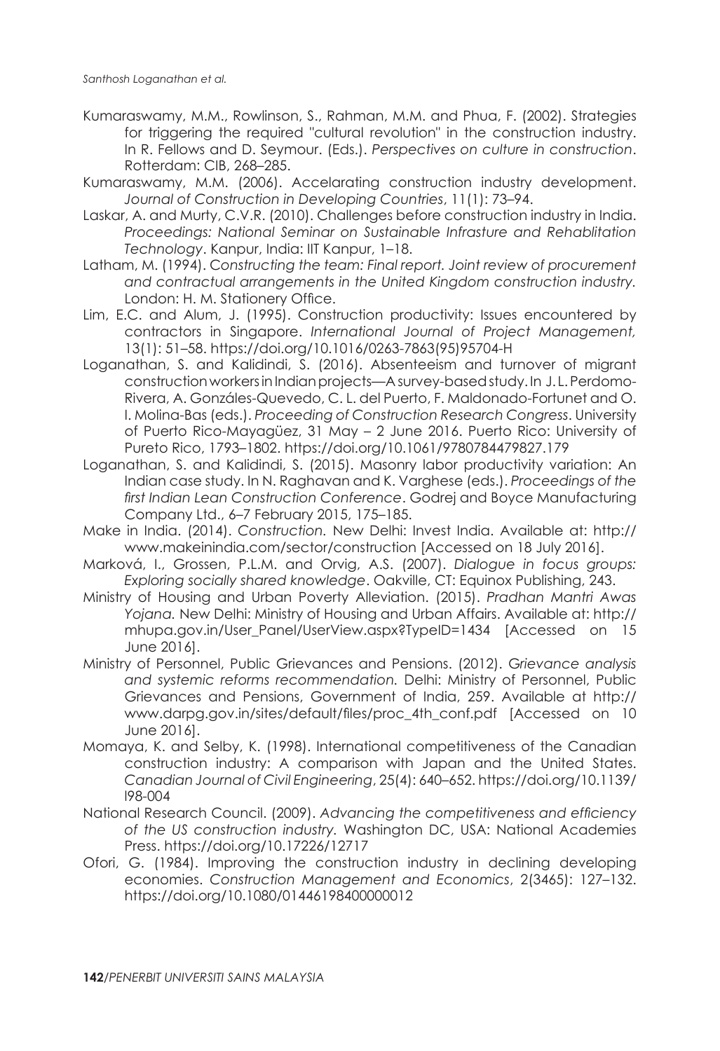- Kumaraswamy, M.M., Rowlinson, S., Rahman, M.M. and Phua, F. (2002). Strategies for triggering the required "cultural revolution" in the construction industry. In R. Fellows and D. Seymour. (Eds.). *Perspectives on culture in construction*. Rotterdam: CIB, 268–285.
- Kumaraswamy, M.M. (2006). Accelarating construction industry development. *Journal of Construction in Developing Countries*, 11(1): 73–94.
- Laskar, A. and Murty, C.V.R. (2010). Challenges before construction industry in India. *Proceedings: National Seminar on Sustainable Infrasture and Rehablitation Technology*. Kanpur, India: IIT Kanpur, 1–18.
- Latham, M. (1994). C*onstructing the team: Final report. Joint review of procurement and contractual arrangements in the United Kingdom construction industry.* London: H. M. Stationery Office.
- Lim, E.C. and Alum, J. (1995). Construction productivity: Issues encountered by contractors in Singapore. *International Journal of Project Management,* 13(1): 51–58. https://doi.org/10.1016/0263-7863(95)95704-H
- Loganathan, S. and Kalidindi, S. (2016). Absenteeism and turnover of migrant construction workers in Indian projects—A survey-based study. In J. L. Perdomo-Rivera, A. Gonzáles-Quevedo, C. L. del Puerto, F. Maldonado-Fortunet and O. I. Molina-Bas (eds.). *Proceeding of Construction Research Congress*. University of Puerto Rico-Mayagüez, 31 May – 2 June 2016. Puerto Rico: University of Pureto Rico, 1793–1802. https://doi.org/10.1061/9780784479827.179
- Loganathan, S. and Kalidindi, S. (2015). Masonry labor productivity variation: An Indian case study. In N. Raghavan and K. Varghese (eds.). *Proceedings of the first Indian Lean Construction Conference*. Godrej and Boyce Manufacturing Company Ltd., 6–7 February 2015, 175–185.
- Make in India. (2014). *Construction.* New Delhi: Invest India. Available at: http:// www.makeinindia.com/sector/construction [Accessed on 18 July 2016].
- Marková, I., Grossen, P.L.M. and Orvig, A.S. (2007). *Dialogue in focus groups: Exploring socially shared knowledge*. Oakville, CT: Equinox Publishing, 243.
- Ministry of Housing and Urban Poverty Alleviation. (2015). *Pradhan Mantri Awas Yojana.* New Delhi: Ministry of Housing and Urban Affairs. Available at: http:// mhupa.gov.in/User\_Panel/UserView.aspx?TypeID=1434 [Accessed on 15 June 2016].
- Ministry of Personnel, Public Grievances and Pensions. (2012). G*rievance analysis and systemic reforms recommendation.* Delhi: Ministry of Personnel, Public Grievances and Pensions, Government of India, 259. Available at http:// www.darpg.gov.in/sites/default/files/proc\_4th\_conf.pdf [Accessed on 10 June 2016].
- Momaya, K. and Selby, K. (1998). International competitiveness of the Canadian construction industry: A comparison with Japan and the United States. *Canadian Journal of Civil Engineering*, 25(4): 640–652. https://doi.org/10.1139/ l98-004
- National Research Council. (2009). *Advancing the competitiveness and efficiency of the US construction industry.* Washington DC, USA: National Academies Press. https://doi.org/10.17226/12717
- Ofori, G. (1984). Improving the construction industry in declining developing economies. *Construction Management and Economics*, 2(3465): 127–132. https://doi.org/10.1080/01446198400000012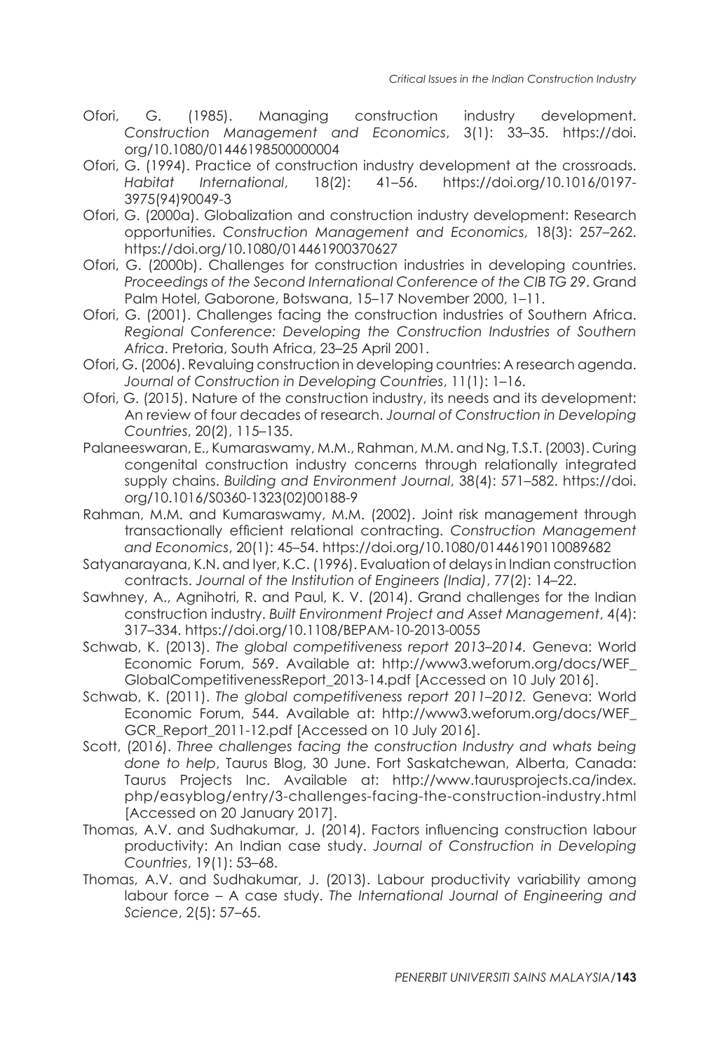- Ofori, G. (1985). Managing construction industry development. *Construction Management and Economics*, 3(1): 33–35. https://doi. org/10.1080/01446198500000004
- Ofori, G. (1994). Practice of construction industry development at the crossroads. *Habitat International*, 18(2): 41–56. https://doi.org/10.1016/0197- 3975(94)90049-3
- Ofori, G. (2000a). Globalization and construction industry development: Research opportunities. *Construction Management and Economics*, 18(3): 257–262. https://doi.org/10.1080/014461900370627
- Ofori, G. (2000b). Challenges for construction industries in developing countries. *Proceedings of the Second International Conference of the CIB TG 29*. Grand Palm Hotel, Gaborone, Botswana, 15–17 November 2000, 1–11.
- Ofori, G. (2001). Challenges facing the construction industries of Southern Africa. *Regional Conference: Developing the Construction Industries of Southern Africa*. Pretoria, South Africa, 23–25 April 2001.
- Ofori, G. (2006). Revaluing construction in developing countries: A research agenda. *Journal of Construction in Developing Countries*, 11(1): 1–16.
- Ofori, G. (2015). Nature of the construction industry, its needs and its development: An review of four decades of research. *Journal of Construction in Developing Countries*, 20(2), 115–135.
- Palaneeswaran, E., Kumaraswamy, M.M., Rahman, M.M. and Ng, T.S.T. (2003). Curing congenital construction industry concerns through relationally integrated supply chains. *Building and Environment Journal*, 38(4): 571–582. https://doi. org/10.1016/S0360-1323(02)00188-9
- Rahman, M.M. and Kumaraswamy, M.M. (2002). Joint risk management through transactionally efficient relational contracting. *Construction Management and Economics*, 20(1): 45–54. https://doi.org/10.1080/01446190110089682
- Satyanarayana, K.N. and Iyer, K.C. (1996). Evaluation of delays in Indian construction contracts. *Journal of the Institution of Engineers (India)*, 77(2): 14–22.
- Sawhney, A., Agnihotri, R. and Paul, K. V. (2014). Grand challenges for the Indian construction industry. *Built Environment Project and Asset Management*, 4(4): 317–334. https://doi.org/10.1108/BEPAM-10-2013-0055
- Schwab, K. (2013). *The global competitiveness report 2013–2014.* Geneva: World Economic Forum, 569. Available at: http://www3.weforum.org/docs/WEF\_ GlobalCompetitivenessReport\_2013-14.pdf [Accessed on 10 July 2016].
- Schwab, K. (2011). *The global competitiveness report 2011–2012.* Geneva: World Economic Forum, 544. Available at: http://www3.weforum.org/docs/WEF\_ GCR\_Report\_2011-12.pdf [Accessed on 10 July 2016].
- Scott, (2016). *Three challenges facing the construction Industry and whats being done to help*, Taurus Blog, 30 June. Fort Saskatchewan, Alberta, Canada: Taurus Projects Inc. Available at: http://www.taurusprojects.ca/index. php/easyblog/entry/3-challenges-facing-the-construction-industry.html [Accessed on 20 January 2017].
- Thomas, A.V. and Sudhakumar, J. (2014). Factors influencing construction labour productivity: An Indian case study. *Journal of Construction in Developing Countries*, 19(1): 53–68.
- Thomas, A.V. and Sudhakumar, J. (2013). Labour productivity variability among labour force – A case study. *The International Journal of Engineering and Science*, 2(5): 57–65.